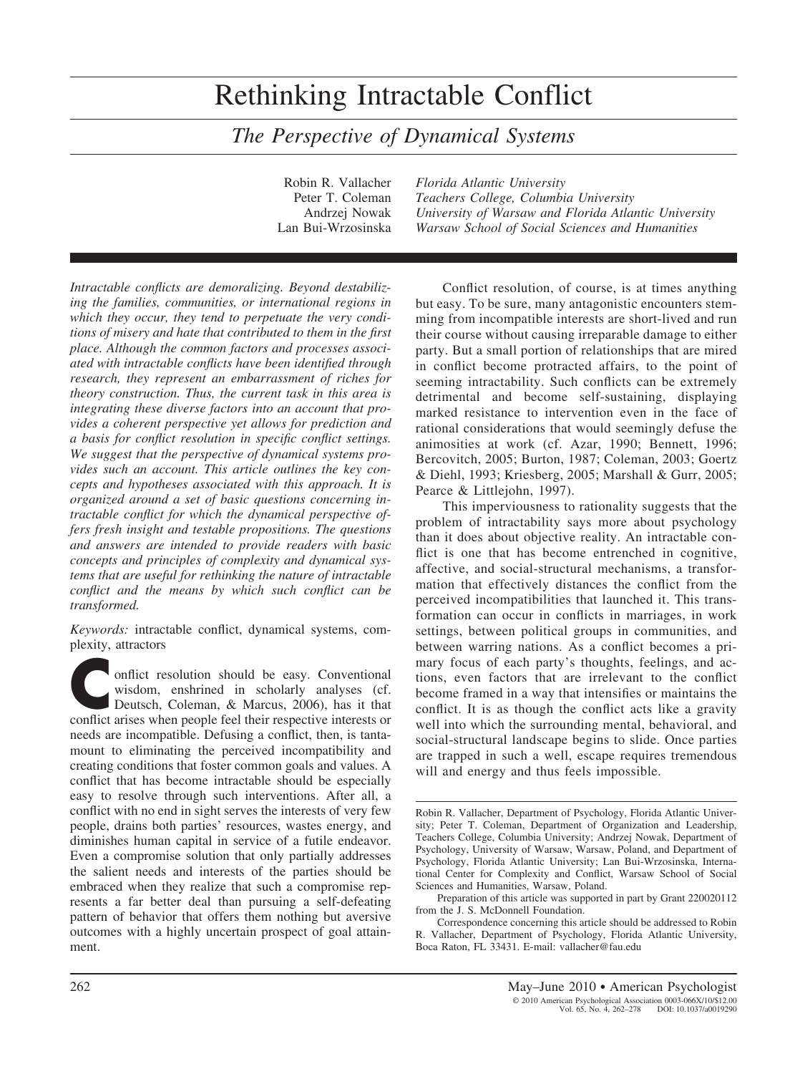# Rethinking Intractable Conflict

*The Perspective of Dynamical Systems*

Robin R. Vallacher *Florida Atlantic University* Peter T. Coleman *Teachers College, Columbia University* Andrzej Nowak *University of Warsaw and Florida Atlantic University* Lan Bui-Wrzosinska *Warsaw School of Social Sciences and Humanities*

*Intractable conflicts are demoralizing. Beyond destabilizing the families, communities, or international regions in which they occur, they tend to perpetuate the very conditions of misery and hate that contributed to them in the first place. Although the common factors and processes associated with intractable conflicts have been identified through research, they represent an embarrassment of riches for theory construction. Thus, the current task in this area is integrating these diverse factors into an account that provides a coherent perspective yet allows for prediction and a basis for conflict resolution in specific conflict settings. We suggest that the perspective of dynamical systems provides such an account. This article outlines the key concepts and hypotheses associated with this approach. It is organized around a set of basic questions concerning intractable conflict for which the dynamical perspective offers fresh insight and testable propositions. The questions and answers are intended to provide readers with basic concepts and principles of complexity and dynamical systems that are useful for rethinking the nature of intractable conflict and the means by which such conflict can be transformed.*

*Keywords:* intractable conflict, dynamical systems, complexity, attractors

onflict resolution should be easy. Conventional wisdom, enshrined in scholarly analyses (cf. Deutsch, Coleman, & Marcus, 2006), has it that conflict arises when people feel their respective interests or needs are incompatible. Defusing a conflict, then, is tantamount to eliminating the perceived incompatibility and creating conditions that foster common goals and values. A conflict that has become intractable should be especially easy to resolve through such interventions. After all, a conflict with no end in sight serves the interests of very few people, drains both parties' resources, wastes energy, and diminishes human capital in service of a futile endeavor. Even a compromise solution that only partially addresses the salient needs and interests of the parties should be embraced when they realize that such a compromise represents a far better deal than pursuing a self-defeating pattern of behavior that offers them nothing but aversive outcomes with a highly uncertain prospect of goal attainment.

Conflict resolution, of course, is at times anything but easy. To be sure, many antagonistic encounters stemming from incompatible interests are short-lived and run their course without causing irreparable damage to either party. But a small portion of relationships that are mired in conflict become protracted affairs, to the point of seeming intractability. Such conflicts can be extremely detrimental and become self-sustaining, displaying marked resistance to intervention even in the face of rational considerations that would seemingly defuse the animosities at work (cf. Azar, 1990; Bennett, 1996; Bercovitch, 2005; Burton, 1987; Coleman, 2003; Goertz & Diehl, 1993; Kriesberg, 2005; Marshall & Gurr, 2005; Pearce & Littlejohn, 1997).

This imperviousness to rationality suggests that the problem of intractability says more about psychology than it does about objective reality. An intractable conflict is one that has become entrenched in cognitive, affective, and social-structural mechanisms, a transformation that effectively distances the conflict from the perceived incompatibilities that launched it. This transformation can occur in conflicts in marriages, in work settings, between political groups in communities, and between warring nations. As a conflict becomes a primary focus of each party's thoughts, feelings, and actions, even factors that are irrelevant to the conflict become framed in a way that intensifies or maintains the conflict. It is as though the conflict acts like a gravity well into which the surrounding mental, behavioral, and social-structural landscape begins to slide. Once parties are trapped in such a well, escape requires tremendous will and energy and thus feels impossible.

Robin R. Vallacher, Department of Psychology, Florida Atlantic University; Peter T. Coleman, Department of Organization and Leadership, Teachers College, Columbia University; Andrzej Nowak, Department of Psychology, University of Warsaw, Warsaw, Poland, and Department of Psychology, Florida Atlantic University; Lan Bui-Wrzosinska, International Center for Complexity and Conflict, Warsaw School of Social Sciences and Humanities, Warsaw, Poland.

Preparation of this article was supported in part by Grant 220020112 from the J. S. McDonnell Foundation.

Correspondence concerning this article should be addressed to Robin R. Vallacher, Department of Psychology, Florida Atlantic University, Boca Raton, FL 33431. E-mail: vallacher@fau.edu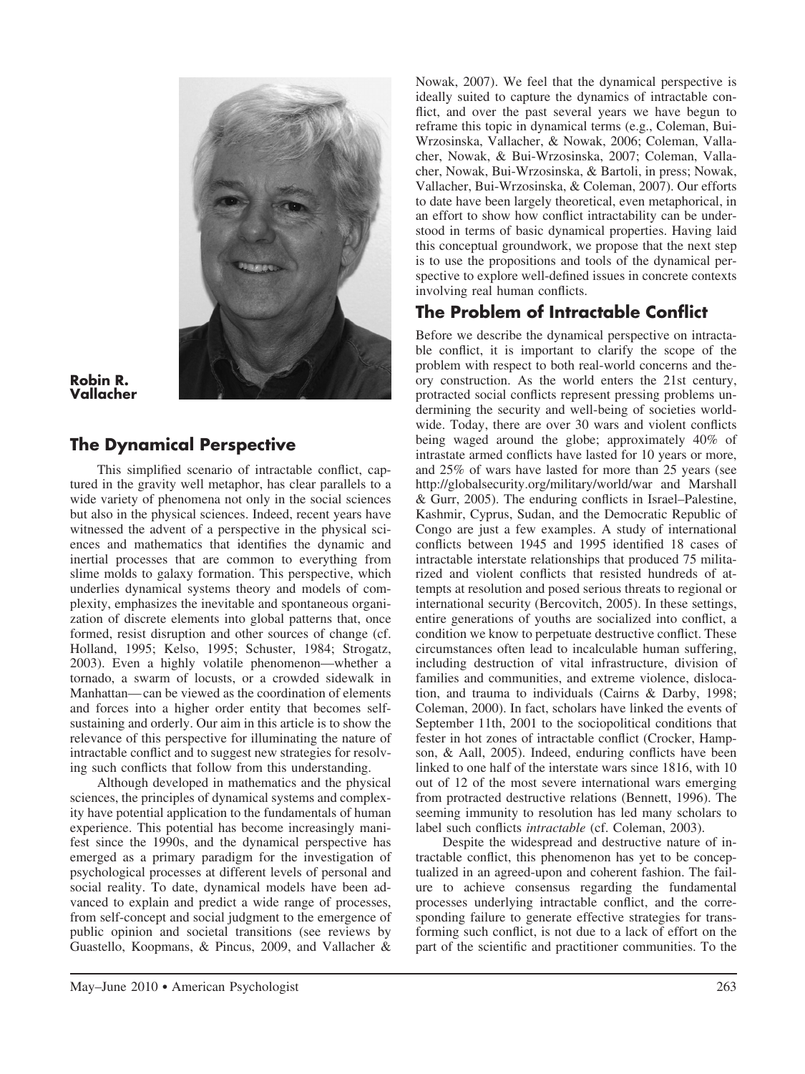

#### **Robin R. Vallacher**

# **The Dynamical Perspective**

This simplified scenario of intractable conflict, captured in the gravity well metaphor, has clear parallels to a wide variety of phenomena not only in the social sciences but also in the physical sciences. Indeed, recent years have witnessed the advent of a perspective in the physical sciences and mathematics that identifies the dynamic and inertial processes that are common to everything from slime molds to galaxy formation. This perspective, which underlies dynamical systems theory and models of complexity, emphasizes the inevitable and spontaneous organization of discrete elements into global patterns that, once formed, resist disruption and other sources of change (cf. Holland, 1995; Kelso, 1995; Schuster, 1984; Strogatz, 2003). Even a highly volatile phenomenon—whether a tornado, a swarm of locusts, or a crowded sidewalk in Manhattan— can be viewed as the coordination of elements and forces into a higher order entity that becomes selfsustaining and orderly. Our aim in this article is to show the relevance of this perspective for illuminating the nature of intractable conflict and to suggest new strategies for resolving such conflicts that follow from this understanding.

Although developed in mathematics and the physical sciences, the principles of dynamical systems and complexity have potential application to the fundamentals of human experience. This potential has become increasingly manifest since the 1990s, and the dynamical perspective has emerged as a primary paradigm for the investigation of psychological processes at different levels of personal and social reality. To date, dynamical models have been advanced to explain and predict a wide range of processes, from self-concept and social judgment to the emergence of public opinion and societal transitions (see reviews by Guastello, Koopmans, & Pincus, 2009, and Vallacher &

Nowak, 2007). We feel that the dynamical perspective is ideally suited to capture the dynamics of intractable conflict, and over the past several years we have begun to reframe this topic in dynamical terms (e.g., Coleman, Bui-Wrzosinska, Vallacher, & Nowak, 2006; Coleman, Vallacher, Nowak, & Bui-Wrzosinska, 2007; Coleman, Vallacher, Nowak, Bui-Wrzosinska, & Bartoli, in press; Nowak, Vallacher, Bui-Wrzosinska, & Coleman, 2007). Our efforts to date have been largely theoretical, even metaphorical, in an effort to show how conflict intractability can be understood in terms of basic dynamical properties. Having laid this conceptual groundwork, we propose that the next step is to use the propositions and tools of the dynamical perspective to explore well-defined issues in concrete contexts involving real human conflicts.

# **The Problem of Intractable Conflict**

Before we describe the dynamical perspective on intractable conflict, it is important to clarify the scope of the problem with respect to both real-world concerns and theory construction. As the world enters the 21st century, protracted social conflicts represent pressing problems undermining the security and well-being of societies worldwide. Today, there are over 30 wars and violent conflicts being waged around the globe; approximately 40% of intrastate armed conflicts have lasted for 10 years or more, and 25% of wars have lasted for more than 25 years (see http://globalsecurity.org/military/world/war and Marshall & Gurr, 2005). The enduring conflicts in Israel–Palestine, Kashmir, Cyprus, Sudan, and the Democratic Republic of Congo are just a few examples. A study of international conflicts between 1945 and 1995 identified 18 cases of intractable interstate relationships that produced 75 militarized and violent conflicts that resisted hundreds of attempts at resolution and posed serious threats to regional or international security (Bercovitch, 2005). In these settings, entire generations of youths are socialized into conflict, a condition we know to perpetuate destructive conflict. These circumstances often lead to incalculable human suffering, including destruction of vital infrastructure, division of families and communities, and extreme violence, dislocation, and trauma to individuals (Cairns & Darby, 1998; Coleman, 2000). In fact, scholars have linked the events of September 11th, 2001 to the sociopolitical conditions that fester in hot zones of intractable conflict (Crocker, Hampson, & Aall, 2005). Indeed, enduring conflicts have been linked to one half of the interstate wars since 1816, with 10 out of 12 of the most severe international wars emerging from protracted destructive relations (Bennett, 1996). The seeming immunity to resolution has led many scholars to label such conflicts *intractable* (cf. Coleman, 2003).

Despite the widespread and destructive nature of intractable conflict, this phenomenon has yet to be conceptualized in an agreed-upon and coherent fashion. The failure to achieve consensus regarding the fundamental processes underlying intractable conflict, and the corresponding failure to generate effective strategies for transforming such conflict, is not due to a lack of effort on the part of the scientific and practitioner communities. To the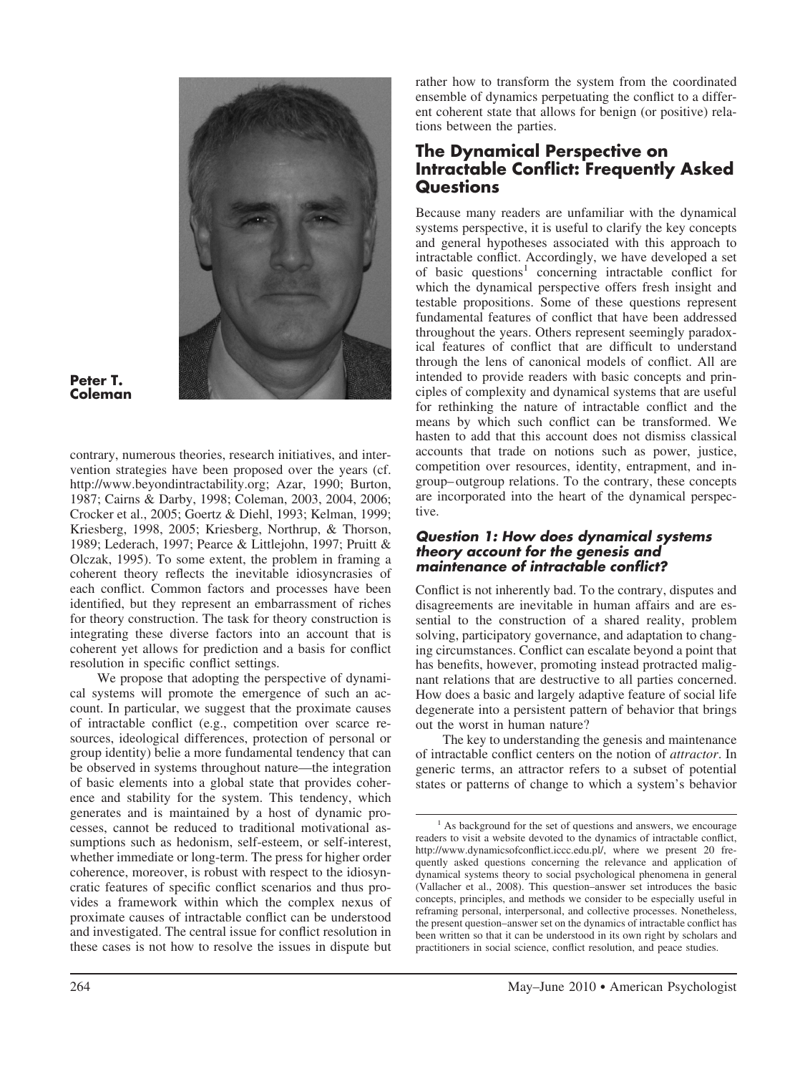

**Peter T. Coleman**

contrary, numerous theories, research initiatives, and intervention strategies have been proposed over the years (cf. http://www.beyondintractability.org; Azar, 1990; Burton, 1987; Cairns & Darby, 1998; Coleman, 2003, 2004, 2006; Crocker et al., 2005; Goertz & Diehl, 1993; Kelman, 1999; Kriesberg, 1998, 2005; Kriesberg, Northrup, & Thorson, 1989; Lederach, 1997; Pearce & Littlejohn, 1997; Pruitt & Olczak, 1995). To some extent, the problem in framing a coherent theory reflects the inevitable idiosyncrasies of each conflict. Common factors and processes have been identified, but they represent an embarrassment of riches for theory construction. The task for theory construction is integrating these diverse factors into an account that is coherent yet allows for prediction and a basis for conflict resolution in specific conflict settings.

We propose that adopting the perspective of dynamical systems will promote the emergence of such an account. In particular, we suggest that the proximate causes of intractable conflict (e.g., competition over scarce resources, ideological differences, protection of personal or group identity) belie a more fundamental tendency that can be observed in systems throughout nature—the integration of basic elements into a global state that provides coherence and stability for the system. This tendency, which generates and is maintained by a host of dynamic processes, cannot be reduced to traditional motivational assumptions such as hedonism, self-esteem, or self-interest, whether immediate or long-term. The press for higher order coherence, moreover, is robust with respect to the idiosyncratic features of specific conflict scenarios and thus provides a framework within which the complex nexus of proximate causes of intractable conflict can be understood and investigated. The central issue for conflict resolution in these cases is not how to resolve the issues in dispute but rather how to transform the system from the coordinated ensemble of dynamics perpetuating the conflict to a different coherent state that allows for benign (or positive) relations between the parties.

# **The Dynamical Perspective on Intractable Conflict: Frequently Asked Questions**

Because many readers are unfamiliar with the dynamical systems perspective, it is useful to clarify the key concepts and general hypotheses associated with this approach to intractable conflict. Accordingly, we have developed a set of basic questions<sup>1</sup> concerning intractable conflict for which the dynamical perspective offers fresh insight and testable propositions. Some of these questions represent fundamental features of conflict that have been addressed throughout the years. Others represent seemingly paradoxical features of conflict that are difficult to understand through the lens of canonical models of conflict. All are intended to provide readers with basic concepts and principles of complexity and dynamical systems that are useful for rethinking the nature of intractable conflict and the means by which such conflict can be transformed. We hasten to add that this account does not dismiss classical accounts that trade on notions such as power, justice, competition over resources, identity, entrapment, and ingroup– outgroup relations. To the contrary, these concepts are incorporated into the heart of the dynamical perspective.

#### *Question 1: How does dynamical systems theory account for the genesis and maintenance of intractable conflict?*

Conflict is not inherently bad. To the contrary, disputes and disagreements are inevitable in human affairs and are essential to the construction of a shared reality, problem solving, participatory governance, and adaptation to changing circumstances. Conflict can escalate beyond a point that has benefits, however, promoting instead protracted malignant relations that are destructive to all parties concerned. How does a basic and largely adaptive feature of social life degenerate into a persistent pattern of behavior that brings out the worst in human nature?

The key to understanding the genesis and maintenance of intractable conflict centers on the notion of *attractor*. In generic terms, an attractor refers to a subset of potential states or patterns of change to which a system's behavior

 $<sup>1</sup>$  As background for the set of questions and answers, we encourage</sup> readers to visit a website devoted to the dynamics of intractable conflict, http://www.dynamicsofconflict.iccc.edu.pl/, where we present 20 frequently asked questions concerning the relevance and application of dynamical systems theory to social psychological phenomena in general (Vallacher et al., 2008). This question–answer set introduces the basic concepts, principles, and methods we consider to be especially useful in reframing personal, interpersonal, and collective processes. Nonetheless, the present question–answer set on the dynamics of intractable conflict has been written so that it can be understood in its own right by scholars and practitioners in social science, conflict resolution, and peace studies.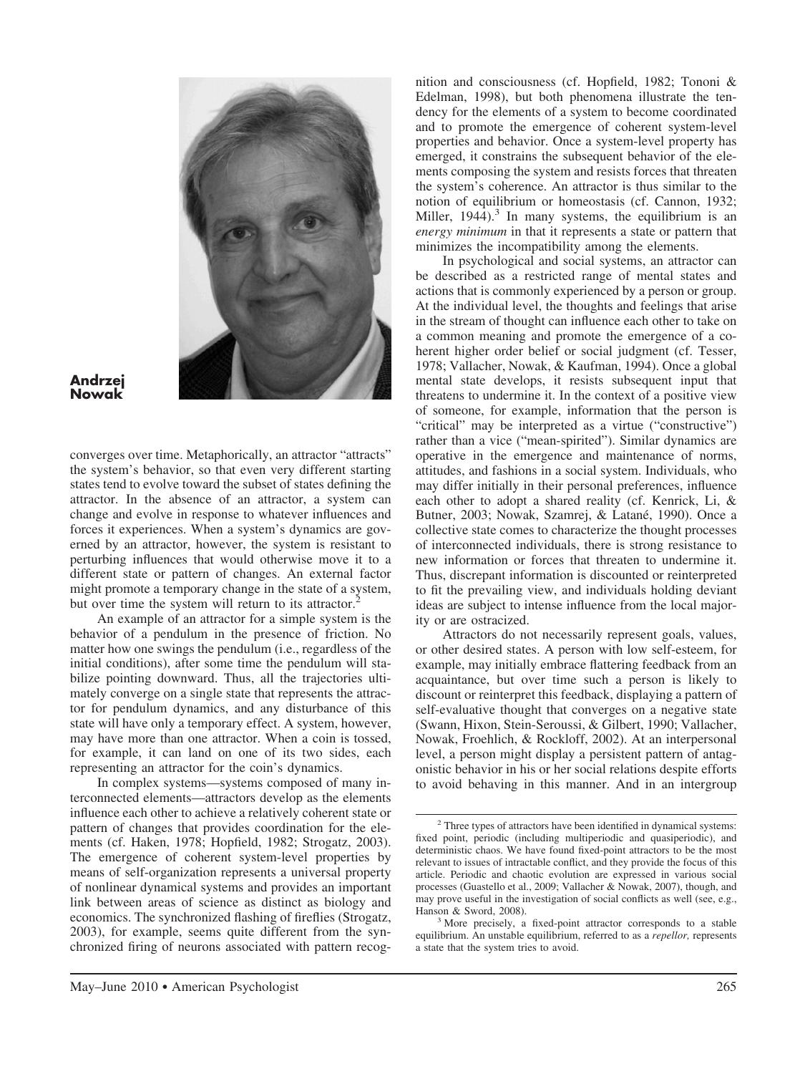

#### **Andrzej Nowak**

converges over time. Metaphorically, an attractor "attracts" the system's behavior, so that even very different starting states tend to evolve toward the subset of states defining the attractor. In the absence of an attractor, a system can change and evolve in response to whatever influences and forces it experiences. When a system's dynamics are governed by an attractor, however, the system is resistant to perturbing influences that would otherwise move it to a different state or pattern of changes. An external factor might promote a temporary change in the state of a system, but over time the system will return to its attractor.<sup>2</sup>

An example of an attractor for a simple system is the behavior of a pendulum in the presence of friction. No matter how one swings the pendulum (i.e., regardless of the initial conditions), after some time the pendulum will stabilize pointing downward. Thus, all the trajectories ultimately converge on a single state that represents the attractor for pendulum dynamics, and any disturbance of this state will have only a temporary effect. A system, however, may have more than one attractor. When a coin is tossed, for example, it can land on one of its two sides, each representing an attractor for the coin's dynamics.

In complex systems—systems composed of many interconnected elements—attractors develop as the elements influence each other to achieve a relatively coherent state or pattern of changes that provides coordination for the elements (cf. Haken, 1978; Hopfield, 1982; Strogatz, 2003). The emergence of coherent system-level properties by means of self-organization represents a universal property of nonlinear dynamical systems and provides an important link between areas of science as distinct as biology and economics. The synchronized flashing of fireflies (Strogatz, 2003), for example, seems quite different from the synchronized firing of neurons associated with pattern recognition and consciousness (cf. Hopfield, 1982; Tononi & Edelman, 1998), but both phenomena illustrate the tendency for the elements of a system to become coordinated and to promote the emergence of coherent system-level properties and behavior. Once a system-level property has emerged, it constrains the subsequent behavior of the elements composing the system and resists forces that threaten the system's coherence. An attractor is thus similar to the notion of equilibrium or homeostasis (cf. Cannon, 1932; Miller,  $1944$ ).<sup>3</sup> In many systems, the equilibrium is an *energy minimum* in that it represents a state or pattern that minimizes the incompatibility among the elements.

In psychological and social systems, an attractor can be described as a restricted range of mental states and actions that is commonly experienced by a person or group. At the individual level, the thoughts and feelings that arise in the stream of thought can influence each other to take on a common meaning and promote the emergence of a coherent higher order belief or social judgment (cf. Tesser, 1978; Vallacher, Nowak, & Kaufman, 1994). Once a global mental state develops, it resists subsequent input that threatens to undermine it. In the context of a positive view of someone, for example, information that the person is "critical" may be interpreted as a virtue ("constructive") rather than a vice ("mean-spirited"). Similar dynamics are operative in the emergence and maintenance of norms, attitudes, and fashions in a social system. Individuals, who may differ initially in their personal preferences, influence each other to adopt a shared reality (cf. Kenrick, Li, & Butner, 2003; Nowak, Szamrej, & Latané, 1990). Once a collective state comes to characterize the thought processes of interconnected individuals, there is strong resistance to new information or forces that threaten to undermine it. Thus, discrepant information is discounted or reinterpreted to fit the prevailing view, and individuals holding deviant ideas are subject to intense influence from the local majority or are ostracized.

Attractors do not necessarily represent goals, values, or other desired states. A person with low self-esteem, for example, may initially embrace flattering feedback from an acquaintance, but over time such a person is likely to discount or reinterpret this feedback, displaying a pattern of self-evaluative thought that converges on a negative state (Swann, Hixon, Stein-Seroussi, & Gilbert, 1990; Vallacher, Nowak, Froehlich, & Rockloff, 2002). At an interpersonal level, a person might display a persistent pattern of antagonistic behavior in his or her social relations despite efforts to avoid behaving in this manner. And in an intergroup

<sup>2</sup> Three types of attractors have been identified in dynamical systems: fixed point, periodic (including multiperiodic and quasiperiodic), and deterministic chaos. We have found fixed-point attractors to be the most relevant to issues of intractable conflict, and they provide the focus of this article. Periodic and chaotic evolution are expressed in various social processes (Guastello et al., 2009; Vallacher & Nowak, 2007), though, and may prove useful in the investigation of social conflicts as well (see, e.g., Hanson & Sword, 2008).

More precisely, a fixed-point attractor corresponds to a stable equilibrium. An unstable equilibrium, referred to as a *repellor,* represents a state that the system tries to avoid.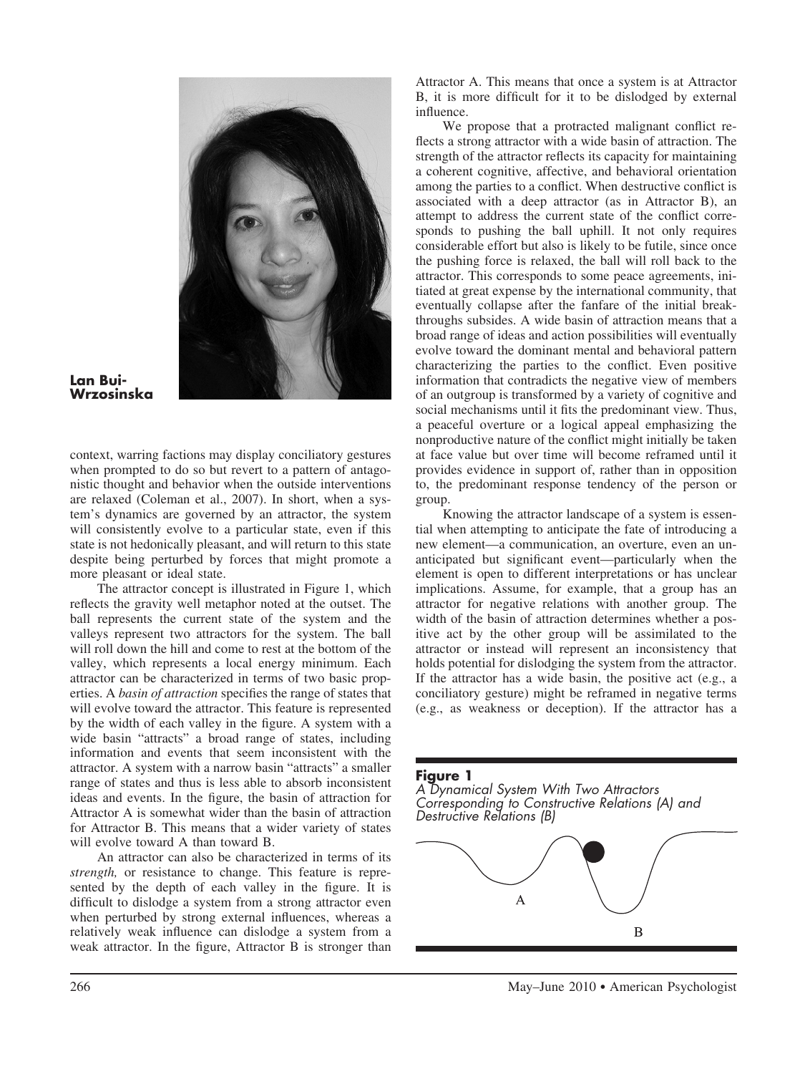

**Lan Bui-Wrzosinska**

context, warring factions may display conciliatory gestures when prompted to do so but revert to a pattern of antagonistic thought and behavior when the outside interventions are relaxed (Coleman et al., 2007). In short, when a system's dynamics are governed by an attractor, the system will consistently evolve to a particular state, even if this state is not hedonically pleasant, and will return to this state despite being perturbed by forces that might promote a more pleasant or ideal state.

The attractor concept is illustrated in Figure 1, which reflects the gravity well metaphor noted at the outset. The ball represents the current state of the system and the valleys represent two attractors for the system. The ball will roll down the hill and come to rest at the bottom of the valley, which represents a local energy minimum. Each attractor can be characterized in terms of two basic properties. A *basin of attraction* specifies the range of states that will evolve toward the attractor. This feature is represented by the width of each valley in the figure. A system with a wide basin "attracts" a broad range of states, including information and events that seem inconsistent with the attractor. A system with a narrow basin "attracts" a smaller range of states and thus is less able to absorb inconsistent ideas and events. In the figure, the basin of attraction for Attractor A is somewhat wider than the basin of attraction for Attractor B. This means that a wider variety of states will evolve toward A than toward B.

An attractor can also be characterized in terms of its *strength,* or resistance to change. This feature is represented by the depth of each valley in the figure. It is difficult to dislodge a system from a strong attractor even when perturbed by strong external influences, whereas a relatively weak influence can dislodge a system from a weak attractor. In the figure, Attractor B is stronger than

Attractor A. This means that once a system is at Attractor B, it is more difficult for it to be dislodged by external influence.

We propose that a protracted malignant conflict reflects a strong attractor with a wide basin of attraction. The strength of the attractor reflects its capacity for maintaining a coherent cognitive, affective, and behavioral orientation among the parties to a conflict. When destructive conflict is associated with a deep attractor (as in Attractor B), an attempt to address the current state of the conflict corresponds to pushing the ball uphill. It not only requires considerable effort but also is likely to be futile, since once the pushing force is relaxed, the ball will roll back to the attractor. This corresponds to some peace agreements, initiated at great expense by the international community, that eventually collapse after the fanfare of the initial breakthroughs subsides. A wide basin of attraction means that a broad range of ideas and action possibilities will eventually evolve toward the dominant mental and behavioral pattern characterizing the parties to the conflict. Even positive information that contradicts the negative view of members of an outgroup is transformed by a variety of cognitive and social mechanisms until it fits the predominant view. Thus, a peaceful overture or a logical appeal emphasizing the nonproductive nature of the conflict might initially be taken at face value but over time will become reframed until it provides evidence in support of, rather than in opposition to, the predominant response tendency of the person or group.

Knowing the attractor landscape of a system is essential when attempting to anticipate the fate of introducing a new element—a communication, an overture, even an unanticipated but significant event—particularly when the element is open to different interpretations or has unclear implications. Assume, for example, that a group has an attractor for negative relations with another group. The width of the basin of attraction determines whether a positive act by the other group will be assimilated to the attractor or instead will represent an inconsistency that holds potential for dislodging the system from the attractor. If the attractor has a wide basin, the positive act (e.g., a conciliatory gesture) might be reframed in negative terms (e.g., as weakness or deception). If the attractor has a

#### **Figure 1**

*A Dynamical System With Two Attractors Corresponding to Constructive Relations (A) and Destructive Relations (B)*

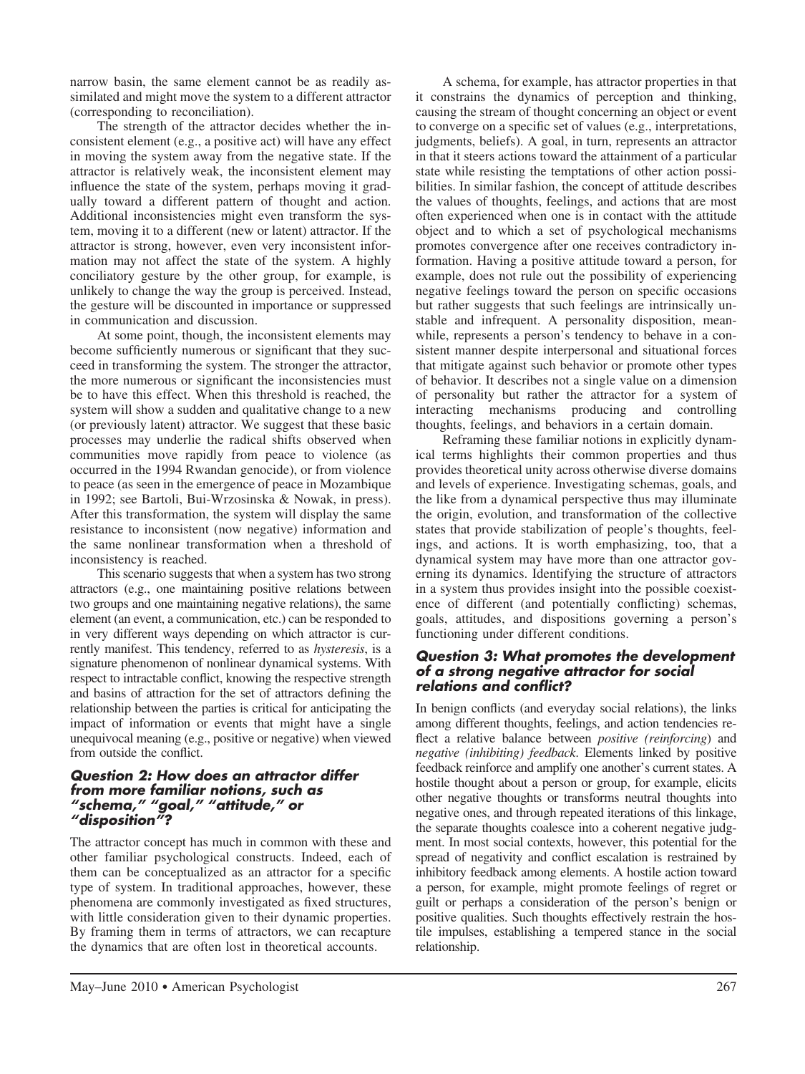narrow basin, the same element cannot be as readily assimilated and might move the system to a different attractor (corresponding to reconciliation).

The strength of the attractor decides whether the inconsistent element (e.g., a positive act) will have any effect in moving the system away from the negative state. If the attractor is relatively weak, the inconsistent element may influence the state of the system, perhaps moving it gradually toward a different pattern of thought and action. Additional inconsistencies might even transform the system, moving it to a different (new or latent) attractor. If the attractor is strong, however, even very inconsistent information may not affect the state of the system. A highly conciliatory gesture by the other group, for example, is unlikely to change the way the group is perceived. Instead, the gesture will be discounted in importance or suppressed in communication and discussion.

At some point, though, the inconsistent elements may become sufficiently numerous or significant that they succeed in transforming the system. The stronger the attractor, the more numerous or significant the inconsistencies must be to have this effect. When this threshold is reached, the system will show a sudden and qualitative change to a new (or previously latent) attractor. We suggest that these basic processes may underlie the radical shifts observed when communities move rapidly from peace to violence (as occurred in the 1994 Rwandan genocide), or from violence to peace (as seen in the emergence of peace in Mozambique in 1992; see Bartoli, Bui-Wrzosinska & Nowak, in press). After this transformation, the system will display the same resistance to inconsistent (now negative) information and the same nonlinear transformation when a threshold of inconsistency is reached.

This scenario suggests that when a system has two strong attractors (e.g., one maintaining positive relations between two groups and one maintaining negative relations), the same element (an event, a communication, etc.) can be responded to in very different ways depending on which attractor is currently manifest. This tendency, referred to as *hysteresis*, is a signature phenomenon of nonlinear dynamical systems. With respect to intractable conflict, knowing the respective strength and basins of attraction for the set of attractors defining the relationship between the parties is critical for anticipating the impact of information or events that might have a single unequivocal meaning (e.g., positive or negative) when viewed from outside the conflict.

#### *Question 2: How does an attractor differ from more familiar notions, such as "schema," "goal," "attitude," or "disposition"?*

The attractor concept has much in common with these and other familiar psychological constructs. Indeed, each of them can be conceptualized as an attractor for a specific type of system. In traditional approaches, however, these phenomena are commonly investigated as fixed structures, with little consideration given to their dynamic properties. By framing them in terms of attractors, we can recapture the dynamics that are often lost in theoretical accounts.

A schema, for example, has attractor properties in that it constrains the dynamics of perception and thinking, causing the stream of thought concerning an object or event to converge on a specific set of values (e.g., interpretations, judgments, beliefs). A goal, in turn, represents an attractor in that it steers actions toward the attainment of a particular state while resisting the temptations of other action possibilities. In similar fashion, the concept of attitude describes the values of thoughts, feelings, and actions that are most often experienced when one is in contact with the attitude object and to which a set of psychological mechanisms promotes convergence after one receives contradictory information. Having a positive attitude toward a person, for example, does not rule out the possibility of experiencing negative feelings toward the person on specific occasions but rather suggests that such feelings are intrinsically unstable and infrequent. A personality disposition, meanwhile, represents a person's tendency to behave in a consistent manner despite interpersonal and situational forces that mitigate against such behavior or promote other types of behavior. It describes not a single value on a dimension of personality but rather the attractor for a system of interacting mechanisms producing and controlling thoughts, feelings, and behaviors in a certain domain.

Reframing these familiar notions in explicitly dynamical terms highlights their common properties and thus provides theoretical unity across otherwise diverse domains and levels of experience. Investigating schemas, goals, and the like from a dynamical perspective thus may illuminate the origin, evolution, and transformation of the collective states that provide stabilization of people's thoughts, feelings, and actions. It is worth emphasizing, too, that a dynamical system may have more than one attractor governing its dynamics. Identifying the structure of attractors in a system thus provides insight into the possible coexistence of different (and potentially conflicting) schemas, goals, attitudes, and dispositions governing a person's functioning under different conditions.

#### *Question 3: What promotes the development of a strong negative attractor for social relations and conflict?*

In benign conflicts (and everyday social relations), the links among different thoughts, feelings, and action tendencies reflect a relative balance between *positive (reinforcing*) and *negative (inhibiting) feedback*. Elements linked by positive feedback reinforce and amplify one another's current states. A hostile thought about a person or group, for example, elicits other negative thoughts or transforms neutral thoughts into negative ones, and through repeated iterations of this linkage, the separate thoughts coalesce into a coherent negative judgment. In most social contexts, however, this potential for the spread of negativity and conflict escalation is restrained by inhibitory feedback among elements. A hostile action toward a person, for example, might promote feelings of regret or guilt or perhaps a consideration of the person's benign or positive qualities. Such thoughts effectively restrain the hostile impulses, establishing a tempered stance in the social relationship.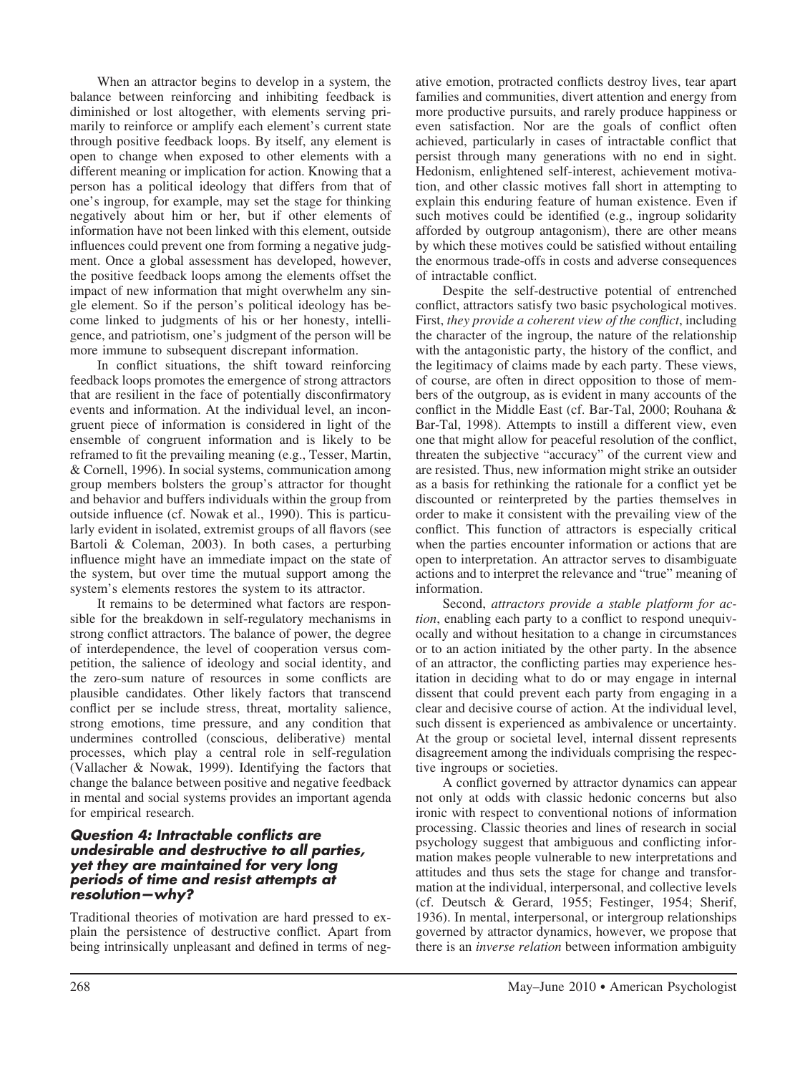When an attractor begins to develop in a system, the balance between reinforcing and inhibiting feedback is diminished or lost altogether, with elements serving primarily to reinforce or amplify each element's current state through positive feedback loops. By itself, any element is open to change when exposed to other elements with a different meaning or implication for action. Knowing that a person has a political ideology that differs from that of one's ingroup, for example, may set the stage for thinking negatively about him or her, but if other elements of information have not been linked with this element, outside influences could prevent one from forming a negative judgment. Once a global assessment has developed, however, the positive feedback loops among the elements offset the impact of new information that might overwhelm any single element. So if the person's political ideology has become linked to judgments of his or her honesty, intelligence, and patriotism, one's judgment of the person will be more immune to subsequent discrepant information.

In conflict situations, the shift toward reinforcing feedback loops promotes the emergence of strong attractors that are resilient in the face of potentially disconfirmatory events and information. At the individual level, an incongruent piece of information is considered in light of the ensemble of congruent information and is likely to be reframed to fit the prevailing meaning (e.g., Tesser, Martin, & Cornell, 1996). In social systems, communication among group members bolsters the group's attractor for thought and behavior and buffers individuals within the group from outside influence (cf. Nowak et al., 1990). This is particularly evident in isolated, extremist groups of all flavors (see Bartoli & Coleman, 2003). In both cases, a perturbing influence might have an immediate impact on the state of the system, but over time the mutual support among the system's elements restores the system to its attractor.

It remains to be determined what factors are responsible for the breakdown in self-regulatory mechanisms in strong conflict attractors. The balance of power, the degree of interdependence, the level of cooperation versus competition, the salience of ideology and social identity, and the zero-sum nature of resources in some conflicts are plausible candidates. Other likely factors that transcend conflict per se include stress, threat, mortality salience, strong emotions, time pressure, and any condition that undermines controlled (conscious, deliberative) mental processes, which play a central role in self-regulation (Vallacher & Nowak, 1999). Identifying the factors that change the balance between positive and negative feedback in mental and social systems provides an important agenda for empirical research.

#### *Question 4: Intractable conflicts are undesirable and destructive to all parties, yet they are maintained for very long periods of time and resist attempts at resolution—why?*

Traditional theories of motivation are hard pressed to explain the persistence of destructive conflict. Apart from being intrinsically unpleasant and defined in terms of negative emotion, protracted conflicts destroy lives, tear apart families and communities, divert attention and energy from more productive pursuits, and rarely produce happiness or even satisfaction. Nor are the goals of conflict often achieved, particularly in cases of intractable conflict that persist through many generations with no end in sight. Hedonism, enlightened self-interest, achievement motivation, and other classic motives fall short in attempting to explain this enduring feature of human existence. Even if such motives could be identified (e.g., ingroup solidarity afforded by outgroup antagonism), there are other means by which these motives could be satisfied without entailing the enormous trade-offs in costs and adverse consequences of intractable conflict.

Despite the self-destructive potential of entrenched conflict, attractors satisfy two basic psychological motives. First, *they provide a coherent view of the conflict*, including the character of the ingroup, the nature of the relationship with the antagonistic party, the history of the conflict, and the legitimacy of claims made by each party. These views, of course, are often in direct opposition to those of members of the outgroup, as is evident in many accounts of the conflict in the Middle East (cf. Bar-Tal, 2000; Rouhana & Bar-Tal, 1998). Attempts to instill a different view, even one that might allow for peaceful resolution of the conflict, threaten the subjective "accuracy" of the current view and are resisted. Thus, new information might strike an outsider as a basis for rethinking the rationale for a conflict yet be discounted or reinterpreted by the parties themselves in order to make it consistent with the prevailing view of the conflict. This function of attractors is especially critical when the parties encounter information or actions that are open to interpretation. An attractor serves to disambiguate actions and to interpret the relevance and "true" meaning of information.

Second, *attractors provide a stable platform for action*, enabling each party to a conflict to respond unequivocally and without hesitation to a change in circumstances or to an action initiated by the other party. In the absence of an attractor, the conflicting parties may experience hesitation in deciding what to do or may engage in internal dissent that could prevent each party from engaging in a clear and decisive course of action. At the individual level, such dissent is experienced as ambivalence or uncertainty. At the group or societal level, internal dissent represents disagreement among the individuals comprising the respective ingroups or societies.

A conflict governed by attractor dynamics can appear not only at odds with classic hedonic concerns but also ironic with respect to conventional notions of information processing. Classic theories and lines of research in social psychology suggest that ambiguous and conflicting information makes people vulnerable to new interpretations and attitudes and thus sets the stage for change and transformation at the individual, interpersonal, and collective levels (cf. Deutsch & Gerard, 1955; Festinger, 1954; Sherif, 1936). In mental, interpersonal, or intergroup relationships governed by attractor dynamics, however, we propose that there is an *inverse relation* between information ambiguity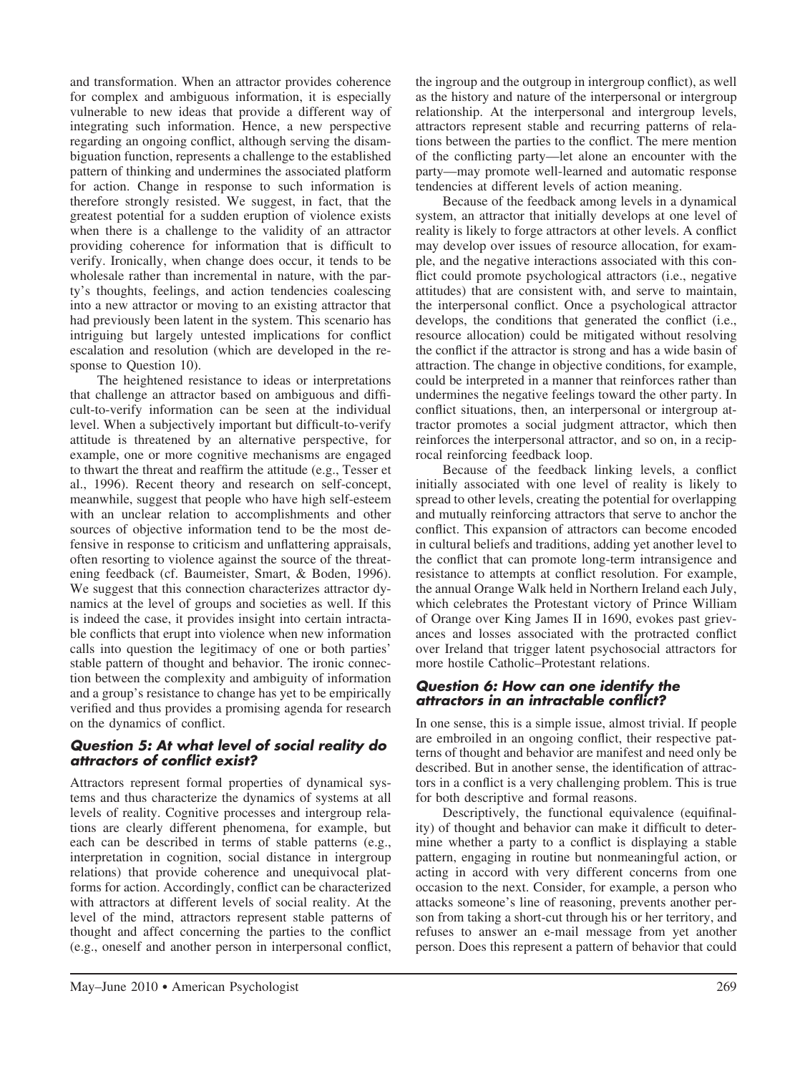and transformation. When an attractor provides coherence for complex and ambiguous information, it is especially vulnerable to new ideas that provide a different way of integrating such information. Hence, a new perspective regarding an ongoing conflict, although serving the disambiguation function, represents a challenge to the established pattern of thinking and undermines the associated platform for action. Change in response to such information is therefore strongly resisted. We suggest, in fact, that the greatest potential for a sudden eruption of violence exists when there is a challenge to the validity of an attractor providing coherence for information that is difficult to verify. Ironically, when change does occur, it tends to be wholesale rather than incremental in nature, with the party's thoughts, feelings, and action tendencies coalescing into a new attractor or moving to an existing attractor that had previously been latent in the system. This scenario has intriguing but largely untested implications for conflict escalation and resolution (which are developed in the response to Question 10).

The heightened resistance to ideas or interpretations that challenge an attractor based on ambiguous and difficult-to-verify information can be seen at the individual level. When a subjectively important but difficult-to-verify attitude is threatened by an alternative perspective, for example, one or more cognitive mechanisms are engaged to thwart the threat and reaffirm the attitude (e.g., Tesser et al., 1996). Recent theory and research on self-concept, meanwhile, suggest that people who have high self-esteem with an unclear relation to accomplishments and other sources of objective information tend to be the most defensive in response to criticism and unflattering appraisals, often resorting to violence against the source of the threatening feedback (cf. Baumeister, Smart, & Boden, 1996). We suggest that this connection characterizes attractor dynamics at the level of groups and societies as well. If this is indeed the case, it provides insight into certain intractable conflicts that erupt into violence when new information calls into question the legitimacy of one or both parties' stable pattern of thought and behavior. The ironic connection between the complexity and ambiguity of information and a group's resistance to change has yet to be empirically verified and thus provides a promising agenda for research on the dynamics of conflict.

#### *Question 5: At what level of social reality do attractors of conflict exist?*

Attractors represent formal properties of dynamical systems and thus characterize the dynamics of systems at all levels of reality. Cognitive processes and intergroup relations are clearly different phenomena, for example, but each can be described in terms of stable patterns (e.g., interpretation in cognition, social distance in intergroup relations) that provide coherence and unequivocal platforms for action. Accordingly, conflict can be characterized with attractors at different levels of social reality. At the level of the mind, attractors represent stable patterns of thought and affect concerning the parties to the conflict (e.g., oneself and another person in interpersonal conflict,

the ingroup and the outgroup in intergroup conflict), as well as the history and nature of the interpersonal or intergroup relationship. At the interpersonal and intergroup levels, attractors represent stable and recurring patterns of relations between the parties to the conflict. The mere mention of the conflicting party—let alone an encounter with the party—may promote well-learned and automatic response tendencies at different levels of action meaning.

Because of the feedback among levels in a dynamical system, an attractor that initially develops at one level of reality is likely to forge attractors at other levels. A conflict may develop over issues of resource allocation, for example, and the negative interactions associated with this conflict could promote psychological attractors (i.e., negative attitudes) that are consistent with, and serve to maintain, the interpersonal conflict. Once a psychological attractor develops, the conditions that generated the conflict (i.e., resource allocation) could be mitigated without resolving the conflict if the attractor is strong and has a wide basin of attraction. The change in objective conditions, for example, could be interpreted in a manner that reinforces rather than undermines the negative feelings toward the other party. In conflict situations, then, an interpersonal or intergroup attractor promotes a social judgment attractor, which then reinforces the interpersonal attractor, and so on, in a reciprocal reinforcing feedback loop.

Because of the feedback linking levels, a conflict initially associated with one level of reality is likely to spread to other levels, creating the potential for overlapping and mutually reinforcing attractors that serve to anchor the conflict. This expansion of attractors can become encoded in cultural beliefs and traditions, adding yet another level to the conflict that can promote long-term intransigence and resistance to attempts at conflict resolution. For example, the annual Orange Walk held in Northern Ireland each July, which celebrates the Protestant victory of Prince William of Orange over King James II in 1690, evokes past grievances and losses associated with the protracted conflict over Ireland that trigger latent psychosocial attractors for more hostile Catholic–Protestant relations.

#### *Question 6: How can one identify the attractors in an intractable conflict?*

In one sense, this is a simple issue, almost trivial. If people are embroiled in an ongoing conflict, their respective patterns of thought and behavior are manifest and need only be described. But in another sense, the identification of attractors in a conflict is a very challenging problem. This is true for both descriptive and formal reasons.

Descriptively, the functional equivalence (equifinality) of thought and behavior can make it difficult to determine whether a party to a conflict is displaying a stable pattern, engaging in routine but nonmeaningful action, or acting in accord with very different concerns from one occasion to the next. Consider, for example, a person who attacks someone's line of reasoning, prevents another person from taking a short-cut through his or her territory, and refuses to answer an e-mail message from yet another person. Does this represent a pattern of behavior that could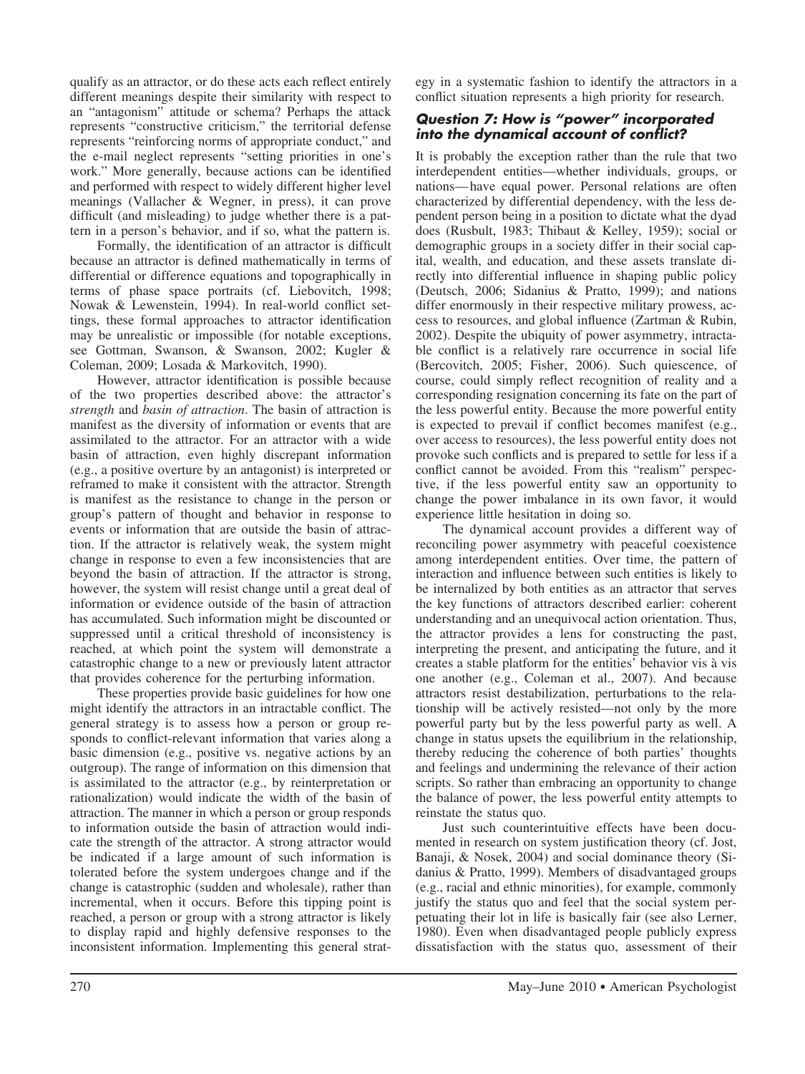qualify as an attractor, or do these acts each reflect entirely different meanings despite their similarity with respect to an "antagonism" attitude or schema? Perhaps the attack represents "constructive criticism," the territorial defense represents "reinforcing norms of appropriate conduct," and the e-mail neglect represents "setting priorities in one's work." More generally, because actions can be identified and performed with respect to widely different higher level meanings (Vallacher & Wegner, in press), it can prove difficult (and misleading) to judge whether there is a pattern in a person's behavior, and if so, what the pattern is.

Formally, the identification of an attractor is difficult because an attractor is defined mathematically in terms of differential or difference equations and topographically in terms of phase space portraits (cf. Liebovitch, 1998; Nowak & Lewenstein, 1994). In real-world conflict settings, these formal approaches to attractor identification may be unrealistic or impossible (for notable exceptions, see Gottman, Swanson, & Swanson, 2002; Kugler & Coleman, 2009; Losada & Markovitch, 1990).

However, attractor identification is possible because of the two properties described above: the attractor's *strength* and *basin of attraction*. The basin of attraction is manifest as the diversity of information or events that are assimilated to the attractor. For an attractor with a wide basin of attraction, even highly discrepant information (e.g., a positive overture by an antagonist) is interpreted or reframed to make it consistent with the attractor. Strength is manifest as the resistance to change in the person or group's pattern of thought and behavior in response to events or information that are outside the basin of attraction. If the attractor is relatively weak, the system might change in response to even a few inconsistencies that are beyond the basin of attraction. If the attractor is strong, however, the system will resist change until a great deal of information or evidence outside of the basin of attraction has accumulated. Such information might be discounted or suppressed until a critical threshold of inconsistency is reached, at which point the system will demonstrate a catastrophic change to a new or previously latent attractor that provides coherence for the perturbing information.

These properties provide basic guidelines for how one might identify the attractors in an intractable conflict. The general strategy is to assess how a person or group responds to conflict-relevant information that varies along a basic dimension (e.g., positive vs. negative actions by an outgroup). The range of information on this dimension that is assimilated to the attractor (e.g., by reinterpretation or rationalization) would indicate the width of the basin of attraction. The manner in which a person or group responds to information outside the basin of attraction would indicate the strength of the attractor. A strong attractor would be indicated if a large amount of such information is tolerated before the system undergoes change and if the change is catastrophic (sudden and wholesale), rather than incremental, when it occurs. Before this tipping point is reached, a person or group with a strong attractor is likely to display rapid and highly defensive responses to the inconsistent information. Implementing this general strategy in a systematic fashion to identify the attractors in a conflict situation represents a high priority for research.

## *Question 7: How is "power" incorporated into the dynamical account of conflict?*

It is probably the exception rather than the rule that two interdependent entities—whether individuals, groups, or nations— have equal power. Personal relations are often characterized by differential dependency, with the less dependent person being in a position to dictate what the dyad does (Rusbult, 1983; Thibaut & Kelley, 1959); social or demographic groups in a society differ in their social capital, wealth, and education, and these assets translate directly into differential influence in shaping public policy (Deutsch, 2006; Sidanius & Pratto, 1999); and nations differ enormously in their respective military prowess, access to resources, and global influence (Zartman & Rubin, 2002). Despite the ubiquity of power asymmetry, intractable conflict is a relatively rare occurrence in social life (Bercovitch, 2005; Fisher, 2006). Such quiescence, of course, could simply reflect recognition of reality and a corresponding resignation concerning its fate on the part of the less powerful entity. Because the more powerful entity is expected to prevail if conflict becomes manifest (e.g., over access to resources), the less powerful entity does not provoke such conflicts and is prepared to settle for less if a conflict cannot be avoided. From this "realism" perspective, if the less powerful entity saw an opportunity to change the power imbalance in its own favor, it would experience little hesitation in doing so.

The dynamical account provides a different way of reconciling power asymmetry with peaceful coexistence among interdependent entities. Over time, the pattern of interaction and influence between such entities is likely to be internalized by both entities as an attractor that serves the key functions of attractors described earlier: coherent understanding and an unequivocal action orientation. Thus, the attractor provides a lens for constructing the past, interpreting the present, and anticipating the future, and it creates a stable platform for the entities' behavior vis à vis one another (e.g., Coleman et al., 2007). And because attractors resist destabilization, perturbations to the relationship will be actively resisted—not only by the more powerful party but by the less powerful party as well. A change in status upsets the equilibrium in the relationship, thereby reducing the coherence of both parties' thoughts and feelings and undermining the relevance of their action scripts. So rather than embracing an opportunity to change the balance of power, the less powerful entity attempts to reinstate the status quo.

Just such counterintuitive effects have been documented in research on system justification theory (cf. Jost, Banaji, & Nosek, 2004) and social dominance theory (Sidanius & Pratto, 1999). Members of disadvantaged groups (e.g., racial and ethnic minorities), for example, commonly justify the status quo and feel that the social system perpetuating their lot in life is basically fair (see also Lerner, 1980). Even when disadvantaged people publicly express dissatisfaction with the status quo, assessment of their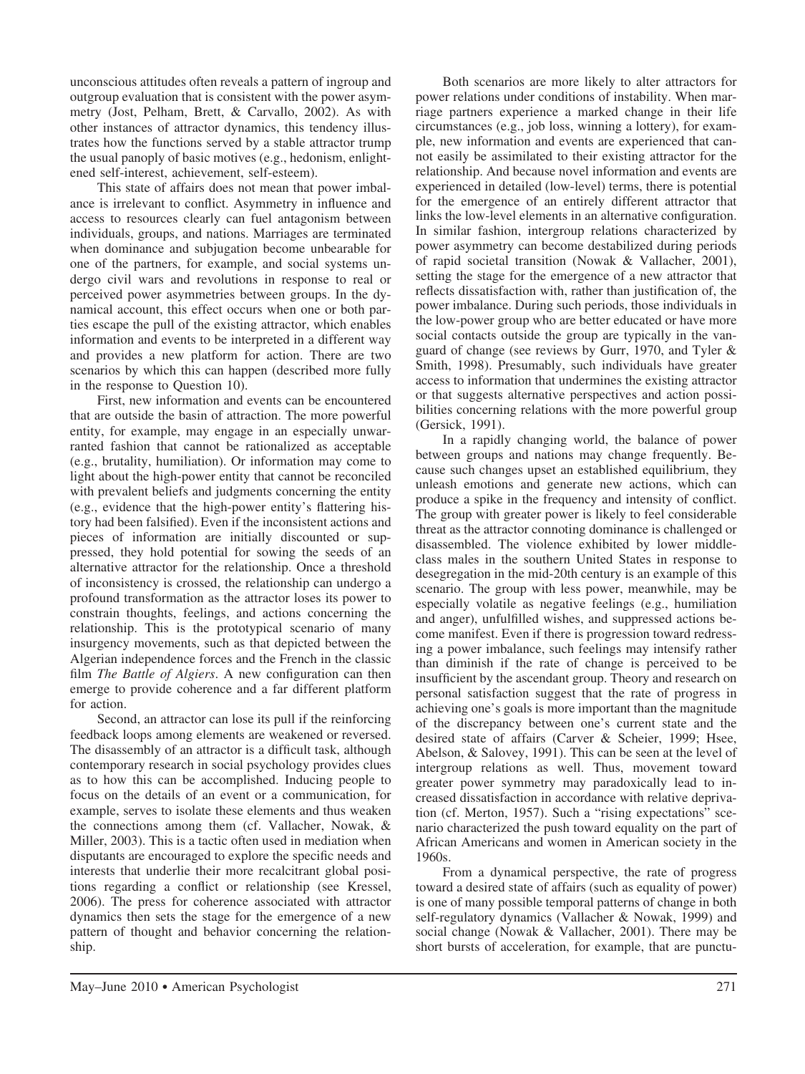unconscious attitudes often reveals a pattern of ingroup and outgroup evaluation that is consistent with the power asymmetry (Jost, Pelham, Brett, & Carvallo, 2002). As with other instances of attractor dynamics, this tendency illustrates how the functions served by a stable attractor trump the usual panoply of basic motives (e.g., hedonism, enlightened self-interest, achievement, self-esteem).

This state of affairs does not mean that power imbalance is irrelevant to conflict. Asymmetry in influence and access to resources clearly can fuel antagonism between individuals, groups, and nations. Marriages are terminated when dominance and subjugation become unbearable for one of the partners, for example, and social systems undergo civil wars and revolutions in response to real or perceived power asymmetries between groups. In the dynamical account, this effect occurs when one or both parties escape the pull of the existing attractor, which enables information and events to be interpreted in a different way and provides a new platform for action. There are two scenarios by which this can happen (described more fully in the response to Question 10).

First, new information and events can be encountered that are outside the basin of attraction. The more powerful entity, for example, may engage in an especially unwarranted fashion that cannot be rationalized as acceptable (e.g., brutality, humiliation). Or information may come to light about the high-power entity that cannot be reconciled with prevalent beliefs and judgments concerning the entity (e.g., evidence that the high-power entity's flattering history had been falsified). Even if the inconsistent actions and pieces of information are initially discounted or suppressed, they hold potential for sowing the seeds of an alternative attractor for the relationship. Once a threshold of inconsistency is crossed, the relationship can undergo a profound transformation as the attractor loses its power to constrain thoughts, feelings, and actions concerning the relationship. This is the prototypical scenario of many insurgency movements, such as that depicted between the Algerian independence forces and the French in the classic film *The Battle of Algiers*. A new configuration can then emerge to provide coherence and a far different platform for action.

Second, an attractor can lose its pull if the reinforcing feedback loops among elements are weakened or reversed. The disassembly of an attractor is a difficult task, although contemporary research in social psychology provides clues as to how this can be accomplished. Inducing people to focus on the details of an event or a communication, for example, serves to isolate these elements and thus weaken the connections among them (cf. Vallacher, Nowak, & Miller, 2003). This is a tactic often used in mediation when disputants are encouraged to explore the specific needs and interests that underlie their more recalcitrant global positions regarding a conflict or relationship (see Kressel, 2006). The press for coherence associated with attractor dynamics then sets the stage for the emergence of a new pattern of thought and behavior concerning the relationship.

Both scenarios are more likely to alter attractors for power relations under conditions of instability. When marriage partners experience a marked change in their life circumstances (e.g., job loss, winning a lottery), for example, new information and events are experienced that cannot easily be assimilated to their existing attractor for the relationship. And because novel information and events are experienced in detailed (low-level) terms, there is potential for the emergence of an entirely different attractor that links the low-level elements in an alternative configuration. In similar fashion, intergroup relations characterized by power asymmetry can become destabilized during periods of rapid societal transition (Nowak & Vallacher, 2001), setting the stage for the emergence of a new attractor that reflects dissatisfaction with, rather than justification of, the power imbalance. During such periods, those individuals in the low-power group who are better educated or have more social contacts outside the group are typically in the vanguard of change (see reviews by Gurr, 1970, and Tyler & Smith, 1998). Presumably, such individuals have greater access to information that undermines the existing attractor or that suggests alternative perspectives and action possibilities concerning relations with the more powerful group (Gersick, 1991).

In a rapidly changing world, the balance of power between groups and nations may change frequently. Because such changes upset an established equilibrium, they unleash emotions and generate new actions, which can produce a spike in the frequency and intensity of conflict. The group with greater power is likely to feel considerable threat as the attractor connoting dominance is challenged or disassembled. The violence exhibited by lower middleclass males in the southern United States in response to desegregation in the mid-20th century is an example of this scenario. The group with less power, meanwhile, may be especially volatile as negative feelings (e.g., humiliation and anger), unfulfilled wishes, and suppressed actions become manifest. Even if there is progression toward redressing a power imbalance, such feelings may intensify rather than diminish if the rate of change is perceived to be insufficient by the ascendant group. Theory and research on personal satisfaction suggest that the rate of progress in achieving one's goals is more important than the magnitude of the discrepancy between one's current state and the desired state of affairs (Carver & Scheier, 1999; Hsee, Abelson, & Salovey, 1991). This can be seen at the level of intergroup relations as well. Thus, movement toward greater power symmetry may paradoxically lead to increased dissatisfaction in accordance with relative deprivation (cf. Merton, 1957). Such a "rising expectations" scenario characterized the push toward equality on the part of African Americans and women in American society in the 1960s.

From a dynamical perspective, the rate of progress toward a desired state of affairs (such as equality of power) is one of many possible temporal patterns of change in both self-regulatory dynamics (Vallacher & Nowak, 1999) and social change (Nowak & Vallacher, 2001). There may be short bursts of acceleration, for example, that are punctu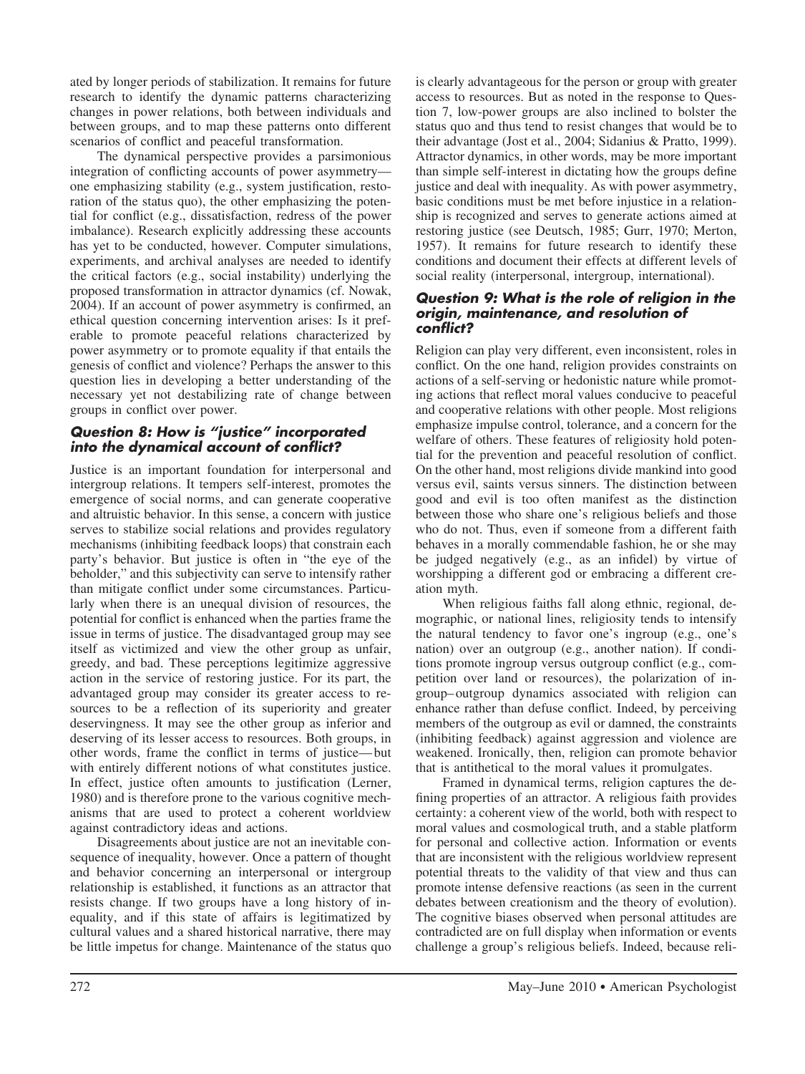ated by longer periods of stabilization. It remains for future research to identify the dynamic patterns characterizing changes in power relations, both between individuals and between groups, and to map these patterns onto different scenarios of conflict and peaceful transformation.

The dynamical perspective provides a parsimonious integration of conflicting accounts of power asymmetry one emphasizing stability (e.g., system justification, restoration of the status quo), the other emphasizing the potential for conflict (e.g., dissatisfaction, redress of the power imbalance). Research explicitly addressing these accounts has yet to be conducted, however. Computer simulations, experiments, and archival analyses are needed to identify the critical factors (e.g., social instability) underlying the proposed transformation in attractor dynamics (cf. Nowak, 2004). If an account of power asymmetry is confirmed, an ethical question concerning intervention arises: Is it preferable to promote peaceful relations characterized by power asymmetry or to promote equality if that entails the genesis of conflict and violence? Perhaps the answer to this question lies in developing a better understanding of the necessary yet not destabilizing rate of change between groups in conflict over power.

## *Question 8: How is "justice" incorporated into the dynamical account of conflict?*

Justice is an important foundation for interpersonal and intergroup relations. It tempers self-interest, promotes the emergence of social norms, and can generate cooperative and altruistic behavior. In this sense, a concern with justice serves to stabilize social relations and provides regulatory mechanisms (inhibiting feedback loops) that constrain each party's behavior. But justice is often in "the eye of the beholder," and this subjectivity can serve to intensify rather than mitigate conflict under some circumstances. Particularly when there is an unequal division of resources, the potential for conflict is enhanced when the parties frame the issue in terms of justice. The disadvantaged group may see itself as victimized and view the other group as unfair, greedy, and bad. These perceptions legitimize aggressive action in the service of restoring justice. For its part, the advantaged group may consider its greater access to resources to be a reflection of its superiority and greater deservingness. It may see the other group as inferior and deserving of its lesser access to resources. Both groups, in other words, frame the conflict in terms of justice— but with entirely different notions of what constitutes justice. In effect, justice often amounts to justification (Lerner, 1980) and is therefore prone to the various cognitive mechanisms that are used to protect a coherent worldview against contradictory ideas and actions.

Disagreements about justice are not an inevitable consequence of inequality, however. Once a pattern of thought and behavior concerning an interpersonal or intergroup relationship is established, it functions as an attractor that resists change. If two groups have a long history of inequality, and if this state of affairs is legitimatized by cultural values and a shared historical narrative, there may be little impetus for change. Maintenance of the status quo

is clearly advantageous for the person or group with greater access to resources. But as noted in the response to Question 7, low-power groups are also inclined to bolster the status quo and thus tend to resist changes that would be to their advantage (Jost et al., 2004; Sidanius & Pratto, 1999). Attractor dynamics, in other words, may be more important than simple self-interest in dictating how the groups define justice and deal with inequality. As with power asymmetry, basic conditions must be met before injustice in a relationship is recognized and serves to generate actions aimed at restoring justice (see Deutsch, 1985; Gurr, 1970; Merton, 1957). It remains for future research to identify these conditions and document their effects at different levels of social reality (interpersonal, intergroup, international).

#### *Question 9: What is the role of religion in the origin, maintenance, and resolution of conflict?*

Religion can play very different, even inconsistent, roles in conflict. On the one hand, religion provides constraints on actions of a self-serving or hedonistic nature while promoting actions that reflect moral values conducive to peaceful and cooperative relations with other people. Most religions emphasize impulse control, tolerance, and a concern for the welfare of others. These features of religiosity hold potential for the prevention and peaceful resolution of conflict. On the other hand, most religions divide mankind into good versus evil, saints versus sinners. The distinction between good and evil is too often manifest as the distinction between those who share one's religious beliefs and those who do not. Thus, even if someone from a different faith behaves in a morally commendable fashion, he or she may be judged negatively (e.g., as an infidel) by virtue of worshipping a different god or embracing a different creation myth.

When religious faiths fall along ethnic, regional, demographic, or national lines, religiosity tends to intensify the natural tendency to favor one's ingroup (e.g., one's nation) over an outgroup (e.g., another nation). If conditions promote ingroup versus outgroup conflict (e.g., competition over land or resources), the polarization of ingroup– outgroup dynamics associated with religion can enhance rather than defuse conflict. Indeed, by perceiving members of the outgroup as evil or damned, the constraints (inhibiting feedback) against aggression and violence are weakened. Ironically, then, religion can promote behavior that is antithetical to the moral values it promulgates.

Framed in dynamical terms, religion captures the defining properties of an attractor. A religious faith provides certainty: a coherent view of the world, both with respect to moral values and cosmological truth, and a stable platform for personal and collective action. Information or events that are inconsistent with the religious worldview represent potential threats to the validity of that view and thus can promote intense defensive reactions (as seen in the current debates between creationism and the theory of evolution). The cognitive biases observed when personal attitudes are contradicted are on full display when information or events challenge a group's religious beliefs. Indeed, because reli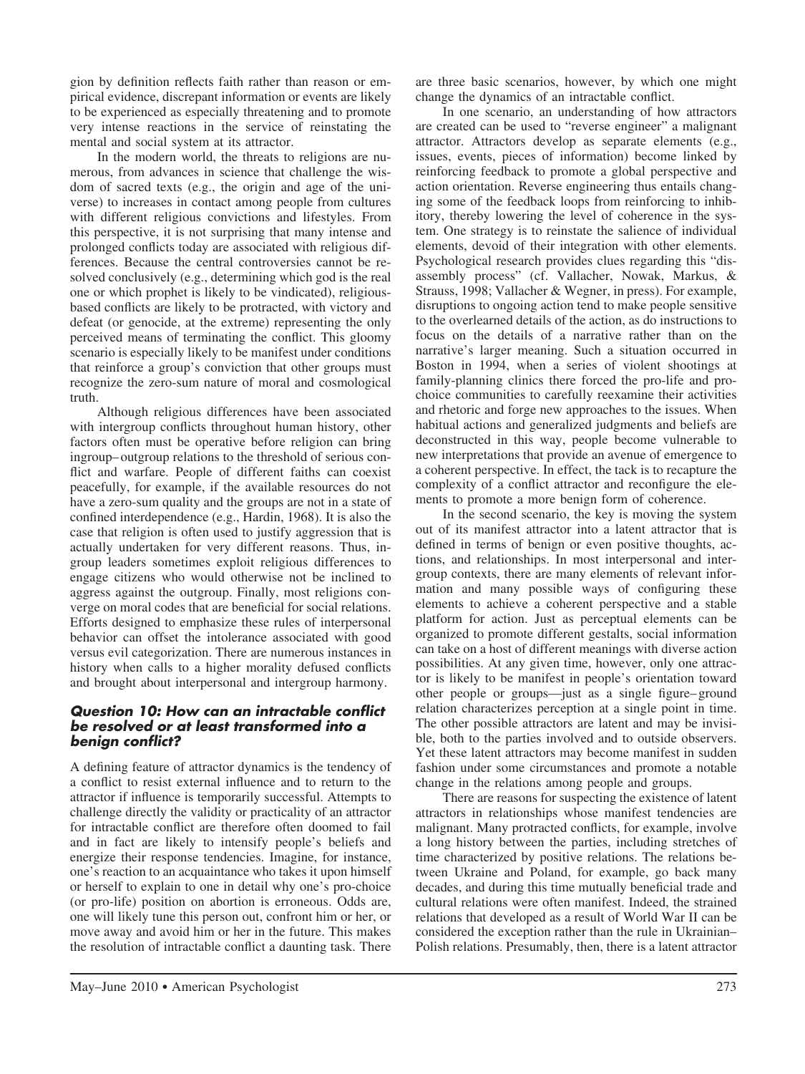gion by definition reflects faith rather than reason or empirical evidence, discrepant information or events are likely to be experienced as especially threatening and to promote very intense reactions in the service of reinstating the mental and social system at its attractor.

In the modern world, the threats to religions are numerous, from advances in science that challenge the wisdom of sacred texts (e.g., the origin and age of the universe) to increases in contact among people from cultures with different religious convictions and lifestyles. From this perspective, it is not surprising that many intense and prolonged conflicts today are associated with religious differences. Because the central controversies cannot be resolved conclusively (e.g., determining which god is the real one or which prophet is likely to be vindicated), religiousbased conflicts are likely to be protracted, with victory and defeat (or genocide, at the extreme) representing the only perceived means of terminating the conflict. This gloomy scenario is especially likely to be manifest under conditions that reinforce a group's conviction that other groups must recognize the zero-sum nature of moral and cosmological truth.

Although religious differences have been associated with intergroup conflicts throughout human history, other factors often must be operative before religion can bring ingroup– outgroup relations to the threshold of serious conflict and warfare. People of different faiths can coexist peacefully, for example, if the available resources do not have a zero-sum quality and the groups are not in a state of confined interdependence (e.g., Hardin, 1968). It is also the case that religion is often used to justify aggression that is actually undertaken for very different reasons. Thus, ingroup leaders sometimes exploit religious differences to engage citizens who would otherwise not be inclined to aggress against the outgroup. Finally, most religions converge on moral codes that are beneficial for social relations. Efforts designed to emphasize these rules of interpersonal behavior can offset the intolerance associated with good versus evil categorization. There are numerous instances in history when calls to a higher morality defused conflicts and brought about interpersonal and intergroup harmony.

#### *Question 10: How can an intractable conflict be resolved or at least transformed into a benign conflict?*

A defining feature of attractor dynamics is the tendency of a conflict to resist external influence and to return to the attractor if influence is temporarily successful. Attempts to challenge directly the validity or practicality of an attractor for intractable conflict are therefore often doomed to fail and in fact are likely to intensify people's beliefs and energize their response tendencies. Imagine, for instance, one's reaction to an acquaintance who takes it upon himself or herself to explain to one in detail why one's pro-choice (or pro-life) position on abortion is erroneous. Odds are, one will likely tune this person out, confront him or her, or move away and avoid him or her in the future. This makes the resolution of intractable conflict a daunting task. There

are three basic scenarios, however, by which one might change the dynamics of an intractable conflict.

In one scenario, an understanding of how attractors are created can be used to "reverse engineer" a malignant attractor. Attractors develop as separate elements (e.g., issues, events, pieces of information) become linked by reinforcing feedback to promote a global perspective and action orientation. Reverse engineering thus entails changing some of the feedback loops from reinforcing to inhibitory, thereby lowering the level of coherence in the system. One strategy is to reinstate the salience of individual elements, devoid of their integration with other elements. Psychological research provides clues regarding this "disassembly process" (cf. Vallacher, Nowak, Markus, & Strauss, 1998; Vallacher & Wegner, in press). For example, disruptions to ongoing action tend to make people sensitive to the overlearned details of the action, as do instructions to focus on the details of a narrative rather than on the narrative's larger meaning. Such a situation occurred in Boston in 1994, when a series of violent shootings at family-planning clinics there forced the pro-life and prochoice communities to carefully reexamine their activities and rhetoric and forge new approaches to the issues. When habitual actions and generalized judgments and beliefs are deconstructed in this way, people become vulnerable to new interpretations that provide an avenue of emergence to a coherent perspective. In effect, the tack is to recapture the complexity of a conflict attractor and reconfigure the elements to promote a more benign form of coherence.

In the second scenario, the key is moving the system out of its manifest attractor into a latent attractor that is defined in terms of benign or even positive thoughts, actions, and relationships. In most interpersonal and intergroup contexts, there are many elements of relevant information and many possible ways of configuring these elements to achieve a coherent perspective and a stable platform for action. Just as perceptual elements can be organized to promote different gestalts, social information can take on a host of different meanings with diverse action possibilities. At any given time, however, only one attractor is likely to be manifest in people's orientation toward other people or groups—just as a single figure– ground relation characterizes perception at a single point in time. The other possible attractors are latent and may be invisible, both to the parties involved and to outside observers. Yet these latent attractors may become manifest in sudden fashion under some circumstances and promote a notable change in the relations among people and groups.

There are reasons for suspecting the existence of latent attractors in relationships whose manifest tendencies are malignant. Many protracted conflicts, for example, involve a long history between the parties, including stretches of time characterized by positive relations. The relations between Ukraine and Poland, for example, go back many decades, and during this time mutually beneficial trade and cultural relations were often manifest. Indeed, the strained relations that developed as a result of World War II can be considered the exception rather than the rule in Ukrainian– Polish relations. Presumably, then, there is a latent attractor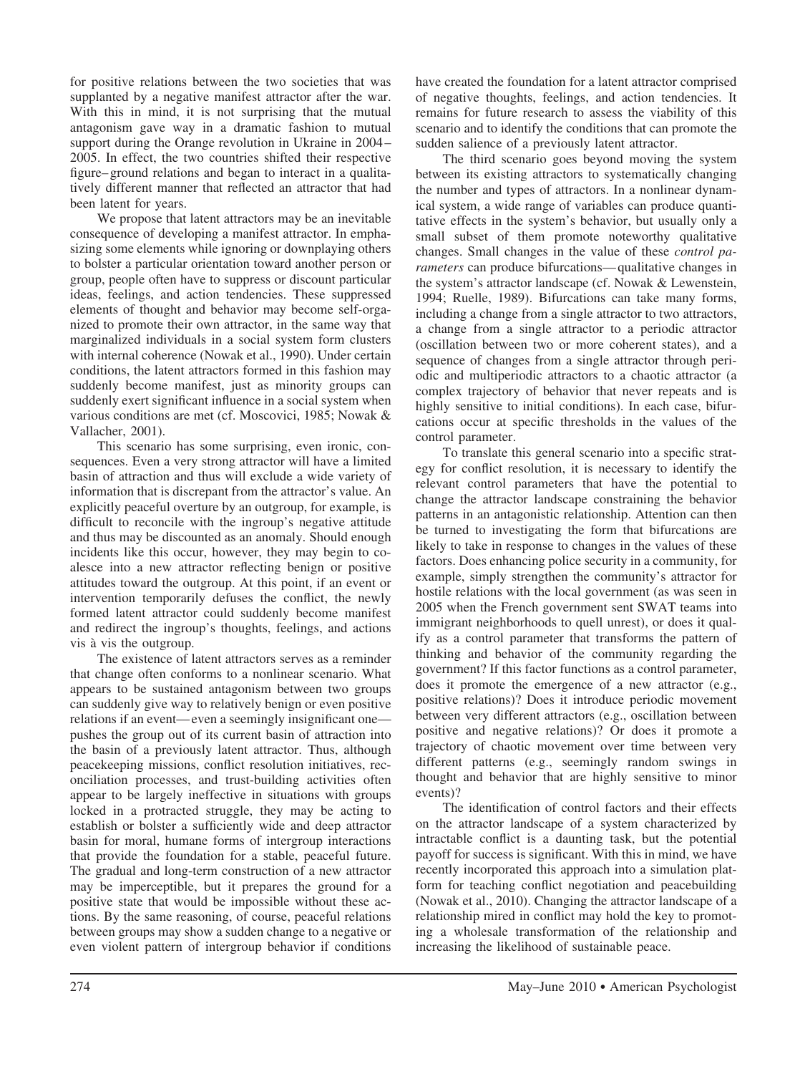for positive relations between the two societies that was supplanted by a negative manifest attractor after the war. With this in mind, it is not surprising that the mutual antagonism gave way in a dramatic fashion to mutual support during the Orange revolution in Ukraine in 2004 – 2005. In effect, the two countries shifted their respective figure– ground relations and began to interact in a qualitatively different manner that reflected an attractor that had been latent for years.

We propose that latent attractors may be an inevitable consequence of developing a manifest attractor. In emphasizing some elements while ignoring or downplaying others to bolster a particular orientation toward another person or group, people often have to suppress or discount particular ideas, feelings, and action tendencies. These suppressed elements of thought and behavior may become self-organized to promote their own attractor, in the same way that marginalized individuals in a social system form clusters with internal coherence (Nowak et al., 1990). Under certain conditions, the latent attractors formed in this fashion may suddenly become manifest, just as minority groups can suddenly exert significant influence in a social system when various conditions are met (cf. Moscovici, 1985; Nowak & Vallacher, 2001).

This scenario has some surprising, even ironic, consequences. Even a very strong attractor will have a limited basin of attraction and thus will exclude a wide variety of information that is discrepant from the attractor's value. An explicitly peaceful overture by an outgroup, for example, is difficult to reconcile with the ingroup's negative attitude and thus may be discounted as an anomaly. Should enough incidents like this occur, however, they may begin to coalesce into a new attractor reflecting benign or positive attitudes toward the outgroup. At this point, if an event or intervention temporarily defuses the conflict, the newly formed latent attractor could suddenly become manifest and redirect the ingroup's thoughts, feelings, and actions vis a` vis the outgroup.

The existence of latent attractors serves as a reminder that change often conforms to a nonlinear scenario. What appears to be sustained antagonism between two groups can suddenly give way to relatively benign or even positive relations if an event— even a seemingly insignificant one pushes the group out of its current basin of attraction into the basin of a previously latent attractor. Thus, although peacekeeping missions, conflict resolution initiatives, reconciliation processes, and trust-building activities often appear to be largely ineffective in situations with groups locked in a protracted struggle, they may be acting to establish or bolster a sufficiently wide and deep attractor basin for moral, humane forms of intergroup interactions that provide the foundation for a stable, peaceful future. The gradual and long-term construction of a new attractor may be imperceptible, but it prepares the ground for a positive state that would be impossible without these actions. By the same reasoning, of course, peaceful relations between groups may show a sudden change to a negative or even violent pattern of intergroup behavior if conditions

have created the foundation for a latent attractor comprised of negative thoughts, feelings, and action tendencies. It remains for future research to assess the viability of this scenario and to identify the conditions that can promote the sudden salience of a previously latent attractor.

The third scenario goes beyond moving the system between its existing attractors to systematically changing the number and types of attractors. In a nonlinear dynamical system, a wide range of variables can produce quantitative effects in the system's behavior, but usually only a small subset of them promote noteworthy qualitative changes. Small changes in the value of these *control parameters* can produce bifurcations— qualitative changes in the system's attractor landscape (cf. Nowak & Lewenstein, 1994; Ruelle, 1989). Bifurcations can take many forms, including a change from a single attractor to two attractors, a change from a single attractor to a periodic attractor (oscillation between two or more coherent states), and a sequence of changes from a single attractor through periodic and multiperiodic attractors to a chaotic attractor (a complex trajectory of behavior that never repeats and is highly sensitive to initial conditions). In each case, bifurcations occur at specific thresholds in the values of the control parameter.

To translate this general scenario into a specific strategy for conflict resolution, it is necessary to identify the relevant control parameters that have the potential to change the attractor landscape constraining the behavior patterns in an antagonistic relationship. Attention can then be turned to investigating the form that bifurcations are likely to take in response to changes in the values of these factors. Does enhancing police security in a community, for example, simply strengthen the community's attractor for hostile relations with the local government (as was seen in 2005 when the French government sent SWAT teams into immigrant neighborhoods to quell unrest), or does it qualify as a control parameter that transforms the pattern of thinking and behavior of the community regarding the government? If this factor functions as a control parameter, does it promote the emergence of a new attractor (e.g., positive relations)? Does it introduce periodic movement between very different attractors (e.g., oscillation between positive and negative relations)? Or does it promote a trajectory of chaotic movement over time between very different patterns (e.g., seemingly random swings in thought and behavior that are highly sensitive to minor events)?

The identification of control factors and their effects on the attractor landscape of a system characterized by intractable conflict is a daunting task, but the potential payoff for success is significant. With this in mind, we have recently incorporated this approach into a simulation platform for teaching conflict negotiation and peacebuilding (Nowak et al., 2010). Changing the attractor landscape of a relationship mired in conflict may hold the key to promoting a wholesale transformation of the relationship and increasing the likelihood of sustainable peace.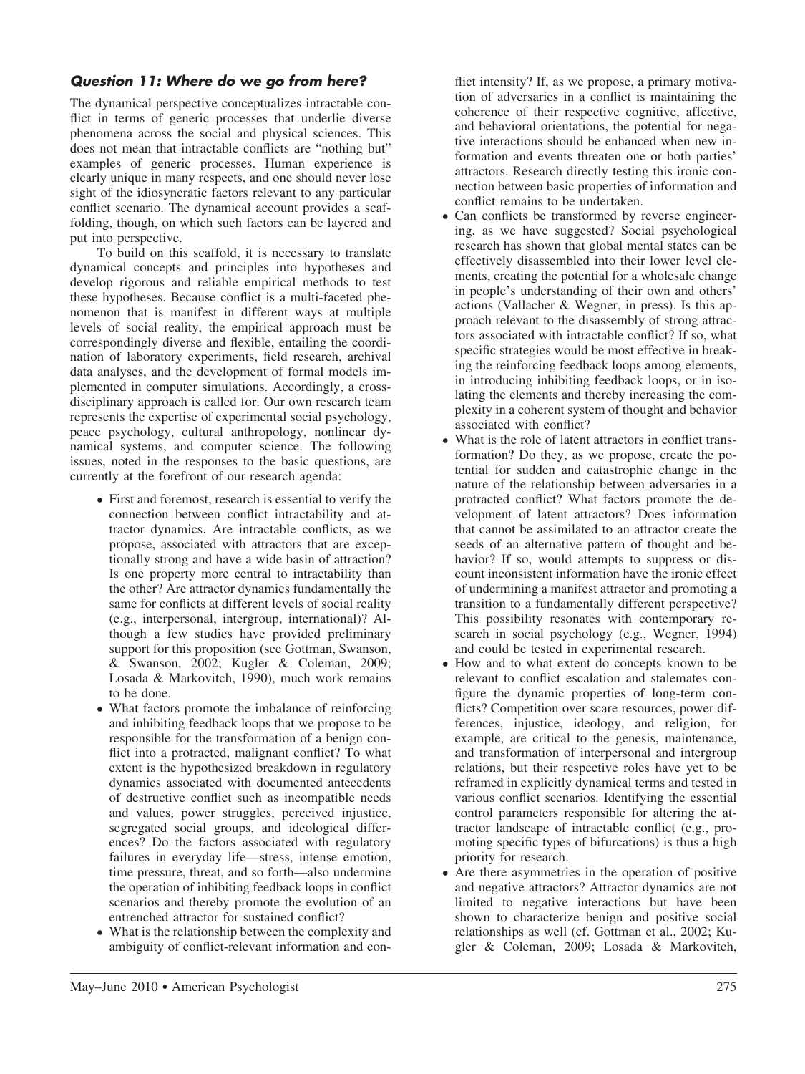# *Question 11: Where do we go from here?*

The dynamical perspective conceptualizes intractable conflict in terms of generic processes that underlie diverse phenomena across the social and physical sciences. This does not mean that intractable conflicts are "nothing but" examples of generic processes. Human experience is clearly unique in many respects, and one should never lose sight of the idiosyncratic factors relevant to any particular conflict scenario. The dynamical account provides a scaffolding, though, on which such factors can be layered and put into perspective.

To build on this scaffold, it is necessary to translate dynamical concepts and principles into hypotheses and develop rigorous and reliable empirical methods to test these hypotheses. Because conflict is a multi-faceted phenomenon that is manifest in different ways at multiple levels of social reality, the empirical approach must be correspondingly diverse and flexible, entailing the coordination of laboratory experiments, field research, archival data analyses, and the development of formal models implemented in computer simulations. Accordingly, a crossdisciplinary approach is called for. Our own research team represents the expertise of experimental social psychology, peace psychology, cultural anthropology, nonlinear dynamical systems, and computer science. The following issues, noted in the responses to the basic questions, are currently at the forefront of our research agenda:

- First and foremost, research is essential to verify the connection between conflict intractability and attractor dynamics. Are intractable conflicts, as we propose, associated with attractors that are exceptionally strong and have a wide basin of attraction? Is one property more central to intractability than the other? Are attractor dynamics fundamentally the same for conflicts at different levels of social reality (e.g., interpersonal, intergroup, international)? Although a few studies have provided preliminary support for this proposition (see Gottman, Swanson, & Swanson, 2002; Kugler & Coleman, 2009; Losada & Markovitch, 1990), much work remains to be done.
- What factors promote the imbalance of reinforcing and inhibiting feedback loops that we propose to be responsible for the transformation of a benign conflict into a protracted, malignant conflict? To what extent is the hypothesized breakdown in regulatory dynamics associated with documented antecedents of destructive conflict such as incompatible needs and values, power struggles, perceived injustice, segregated social groups, and ideological differences? Do the factors associated with regulatory failures in everyday life—stress, intense emotion, time pressure, threat, and so forth—also undermine the operation of inhibiting feedback loops in conflict scenarios and thereby promote the evolution of an entrenched attractor for sustained conflict?
- What is the relationship between the complexity and ambiguity of conflict-relevant information and con-

flict intensity? If, as we propose, a primary motivation of adversaries in a conflict is maintaining the coherence of their respective cognitive, affective, and behavioral orientations, the potential for negative interactions should be enhanced when new information and events threaten one or both parties' attractors. Research directly testing this ironic connection between basic properties of information and conflict remains to be undertaken.

- Can conflicts be transformed by reverse engineering, as we have suggested? Social psychological research has shown that global mental states can be effectively disassembled into their lower level elements, creating the potential for a wholesale change in people's understanding of their own and others' actions (Vallacher & Wegner, in press). Is this approach relevant to the disassembly of strong attractors associated with intractable conflict? If so, what specific strategies would be most effective in breaking the reinforcing feedback loops among elements, in introducing inhibiting feedback loops, or in isolating the elements and thereby increasing the complexity in a coherent system of thought and behavior associated with conflict?
- What is the role of latent attractors in conflict transformation? Do they, as we propose, create the potential for sudden and catastrophic change in the nature of the relationship between adversaries in a protracted conflict? What factors promote the development of latent attractors? Does information that cannot be assimilated to an attractor create the seeds of an alternative pattern of thought and behavior? If so, would attempts to suppress or discount inconsistent information have the ironic effect of undermining a manifest attractor and promoting a transition to a fundamentally different perspective? This possibility resonates with contemporary research in social psychology (e.g., Wegner, 1994) and could be tested in experimental research.
- How and to what extent do concepts known to be relevant to conflict escalation and stalemates configure the dynamic properties of long-term conflicts? Competition over scare resources, power differences, injustice, ideology, and religion, for example, are critical to the genesis, maintenance, and transformation of interpersonal and intergroup relations, but their respective roles have yet to be reframed in explicitly dynamical terms and tested in various conflict scenarios. Identifying the essential control parameters responsible for altering the attractor landscape of intractable conflict (e.g., promoting specific types of bifurcations) is thus a high priority for research.
- Are there asymmetries in the operation of positive and negative attractors? Attractor dynamics are not limited to negative interactions but have been shown to characterize benign and positive social relationships as well (cf. Gottman et al., 2002; Kugler & Coleman, 2009; Losada & Markovitch,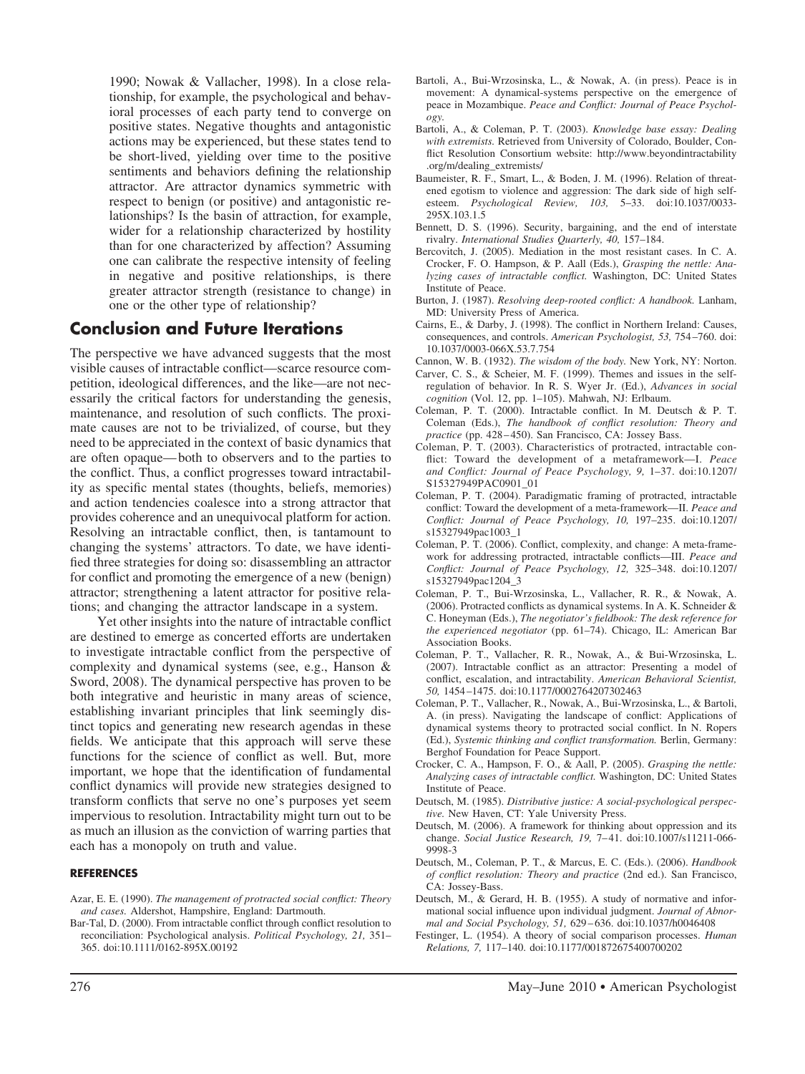1990; Nowak & Vallacher, 1998). In a close relationship, for example, the psychological and behavioral processes of each party tend to converge on positive states. Negative thoughts and antagonistic actions may be experienced, but these states tend to be short-lived, yielding over time to the positive sentiments and behaviors defining the relationship attractor. Are attractor dynamics symmetric with respect to benign (or positive) and antagonistic relationships? Is the basin of attraction, for example, wider for a relationship characterized by hostility than for one characterized by affection? Assuming one can calibrate the respective intensity of feeling in negative and positive relationships, is there greater attractor strength (resistance to change) in one or the other type of relationship?

# **Conclusion and Future Iterations**

The perspective we have advanced suggests that the most visible causes of intractable conflict—scarce resource competition, ideological differences, and the like—are not necessarily the critical factors for understanding the genesis, maintenance, and resolution of such conflicts. The proximate causes are not to be trivialized, of course, but they need to be appreciated in the context of basic dynamics that are often opaque— both to observers and to the parties to the conflict. Thus, a conflict progresses toward intractability as specific mental states (thoughts, beliefs, memories) and action tendencies coalesce into a strong attractor that provides coherence and an unequivocal platform for action. Resolving an intractable conflict, then, is tantamount to changing the systems' attractors. To date, we have identified three strategies for doing so: disassembling an attractor for conflict and promoting the emergence of a new (benign) attractor; strengthening a latent attractor for positive relations; and changing the attractor landscape in a system.

Yet other insights into the nature of intractable conflict are destined to emerge as concerted efforts are undertaken to investigate intractable conflict from the perspective of complexity and dynamical systems (see, e.g., Hanson & Sword, 2008). The dynamical perspective has proven to be both integrative and heuristic in many areas of science, establishing invariant principles that link seemingly distinct topics and generating new research agendas in these fields. We anticipate that this approach will serve these functions for the science of conflict as well. But, more important, we hope that the identification of fundamental conflict dynamics will provide new strategies designed to transform conflicts that serve no one's purposes yet seem impervious to resolution. Intractability might turn out to be as much an illusion as the conviction of warring parties that each has a monopoly on truth and value.

#### **REFERENCES**

- Azar, E. E. (1990). *The management of protracted social conflict: Theory and cases.* Aldershot, Hampshire, England: Dartmouth.
- Bar-Tal, D. (2000). From intractable conflict through conflict resolution to reconciliation: Psychological analysis. *Political Psychology, 21,* 351– 365. doi:10.1111/0162-895X.00192
- Bartoli, A., Bui-Wrzosinska, L., & Nowak, A. (in press). Peace is in movement: A dynamical-systems perspective on the emergence of peace in Mozambique. *Peace and Conflict: Journal of Peace Psychology.*
- Bartoli, A., & Coleman, P. T. (2003). *Knowledge base essay: Dealing with extremists.* Retrieved from University of Colorado, Boulder, Conflict Resolution Consortium website: http://www.beyondintractability .org/m/dealing\_extremists/
- Baumeister, R. F., Smart, L., & Boden, J. M. (1996). Relation of threatened egotism to violence and aggression: The dark side of high selfesteem. *Psychological Review, 103,* 5–33. doi:10.1037/0033- 295X.103.1.5
- Bennett, D. S. (1996). Security, bargaining, and the end of interstate rivalry. *International Studies Quarterly, 40,* 157–184.
- Bercovitch, J. (2005). Mediation in the most resistant cases. In C. A. Crocker, F. O. Hampson, & P. Aall (Eds.), *Grasping the nettle: Analyzing cases of intractable conflict.* Washington, DC: United States Institute of Peace.
- Burton, J. (1987). *Resolving deep-rooted conflict: A handbook.* Lanham, MD: University Press of America.
- Cairns, E., & Darby, J. (1998). The conflict in Northern Ireland: Causes, consequences, and controls. *American Psychologist, 53,* 754 –760. doi: 10.1037/0003-066X.53.7.754
- Cannon, W. B. (1932). *The wisdom of the body.* New York, NY: Norton.
- Carver, C. S., & Scheier, M. F. (1999). Themes and issues in the selfregulation of behavior. In R. S. Wyer Jr. (Ed.), *Advances in social cognition* (Vol. 12, pp. 1–105). Mahwah, NJ: Erlbaum.
- Coleman, P. T. (2000). Intractable conflict. In M. Deutsch & P. T. Coleman (Eds.), *The handbook of conflict resolution: Theory and practice* (pp. 428–450). San Francisco, CA: Jossey Bass.
- Coleman, P. T. (2003). Characteristics of protracted, intractable conflict: Toward the development of a metaframework—I. *Peace and Conflict: Journal of Peace Psychology, 9,* 1–37. doi:10.1207/ S15327949PAC0901\_01
- Coleman, P. T. (2004). Paradigmatic framing of protracted, intractable conflict: Toward the development of a meta-framework—II. *Peace and Conflict: Journal of Peace Psychology, 10,* 197–235. doi:10.1207/ s15327949pac1003\_1
- Coleman, P. T. (2006). Conflict, complexity, and change: A meta-framework for addressing protracted, intractable conflicts—III. *Peace and Conflict: Journal of Peace Psychology, 12,* 325–348. doi:10.1207/ s15327949pac1204\_3
- Coleman, P. T., Bui-Wrzosinska, L., Vallacher, R. R., & Nowak, A. (2006). Protracted conflicts as dynamical systems. In A. K. Schneider & C. Honeyman (Eds.), *The negotiator's fieldbook: The desk reference for the experienced negotiator* (pp. 61–74). Chicago, IL: American Bar Association Books.
- Coleman, P. T., Vallacher, R. R., Nowak, A., & Bui-Wrzosinska, L. (2007). Intractable conflict as an attractor: Presenting a model of conflict, escalation, and intractability. *American Behavioral Scientist, 50,* 1454 –1475. doi:10.1177/0002764207302463
- Coleman, P. T., Vallacher, R., Nowak, A., Bui-Wrzosinska, L., & Bartoli, A. (in press). Navigating the landscape of conflict: Applications of dynamical systems theory to protracted social conflict. In N. Ropers (Ed.), *Systemic thinking and conflict transformation.* Berlin, Germany: Berghof Foundation for Peace Support.
- Crocker, C. A., Hampson, F. O., & Aall, P. (2005). *Grasping the nettle: Analyzing cases of intractable conflict.* Washington, DC: United States Institute of Peace.
- Deutsch, M. (1985). *Distributive justice: A social-psychological perspective.* New Haven, CT: Yale University Press.
- Deutsch, M. (2006). A framework for thinking about oppression and its change. *Social Justice Research, 19,* 7– 41. doi:10.1007/s11211-066- 9998-3
- Deutsch, M., Coleman, P. T., & Marcus, E. C. (Eds.). (2006). *Handbook of conflict resolution: Theory and practice* (2nd ed.). San Francisco, CA: Jossey-Bass.
- Deutsch, M., & Gerard, H. B. (1955). A study of normative and informational social influence upon individual judgment. *Journal of Abnormal and Social Psychology, 51,* 629 – 636. doi:10.1037/h0046408
- Festinger, L. (1954). A theory of social comparison processes. *Human Relations, 7,* 117–140. doi:10.1177/001872675400700202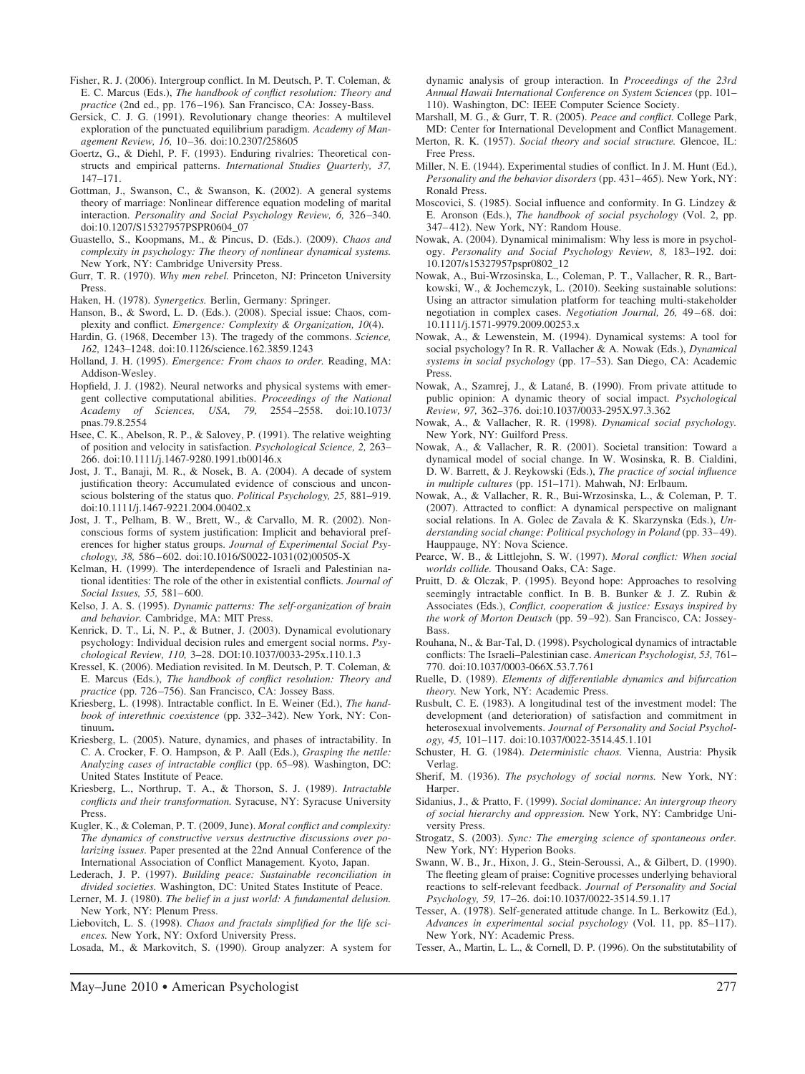- Fisher, R. J. (2006). Intergroup conflict. In M. Deutsch, P. T. Coleman, & E. C. Marcus (Eds.), *The handbook of conflict resolution: Theory and practice* (2nd ed., pp. 176–196). San Francisco, CA: Jossey-Bass.
- Gersick, C. J. G. (1991). Revolutionary change theories: A multilevel exploration of the punctuated equilibrium paradigm. *Academy of Management Review, 16,* 10 –36. doi:10.2307/258605
- Goertz, G., & Diehl, P. F. (1993). Enduring rivalries: Theoretical constructs and empirical patterns. *International Studies Quarterly, 37,* 147–171.
- Gottman, J., Swanson, C., & Swanson, K. (2002). A general systems theory of marriage: Nonlinear difference equation modeling of marital interaction. *Personality and Social Psychology Review, 6,* 326 –340. doi:10.1207/S15327957PSPR0604\_07
- Guastello, S., Koopmans, M., & Pincus, D. (Eds.). (2009). *Chaos and complexity in psychology: The theory of nonlinear dynamical systems.* New York, NY: Cambridge University Press.
- Gurr, T. R. (1970). *Why men rebel.* Princeton, NJ: Princeton University Press.
- Haken, H. (1978). *Synergetics.* Berlin, Germany: Springer.
- Hanson, B., & Sword, L. D. (Eds.). (2008). Special issue: Chaos, complexity and conflict. *Emergence: Complexity & Organization, 10*(4).
- Hardin, G. (1968, December 13). The tragedy of the commons. *Science, 162,* 1243–1248. doi:10.1126/science.162.3859.1243
- Holland, J. H. (1995). *Emergence: From chaos to order.* Reading, MA: Addison-Wesley.
- Hopfield, J. J. (1982). Neural networks and physical systems with emergent collective computational abilities. *Proceedings of the National Academy of Sciences, USA, 79,* 2554 –2558. doi:10.1073/ pnas.79.8.2554
- Hsee, C. K., Abelson, R. P., & Salovey, P. (1991). The relative weighting of position and velocity in satisfaction. *Psychological Science, 2,* 263– 266. doi:10.1111/j.1467-9280.1991.tb00146.x
- Jost, J. T., Banaji, M. R., & Nosek, B. A. (2004). A decade of system justification theory: Accumulated evidence of conscious and unconscious bolstering of the status quo. *Political Psychology, 25,* 881–919. doi:10.1111/j.1467-9221.2004.00402.x
- Jost, J. T., Pelham, B. W., Brett, W., & Carvallo, M. R. (2002). Nonconscious forms of system justification: Implicit and behavioral preferences for higher status groups. *Journal of Experimental Social Psychology, 38,* 586 – 602. doi:10.1016/S0022-1031(02)00505-X
- Kelman, H. (1999). The interdependence of Israeli and Palestinian national identities: The role of the other in existential conflicts. *Journal of Social Issues, 55,* 581– 600.
- Kelso, J. A. S. (1995). *Dynamic patterns: The self-organization of brain and behavior.* Cambridge, MA: MIT Press.
- Kenrick, D. T., Li, N. P., & Butner, J. (2003). Dynamical evolutionary psychology: Individual decision rules and emergent social norms. *Psychological Review, 110,* 3–28. DOI:10.1037/0033-295x.110.1.3
- Kressel, K. (2006). Mediation revisited. In M. Deutsch, P. T. Coleman, & E. Marcus (Eds.), *The handbook of conflict resolution: Theory and practice* (pp. 726 –756). San Francisco, CA: Jossey Bass.
- Kriesberg, L. (1998). Intractable conflict. In E. Weiner (Ed.), *The handbook of interethnic coexistence* (pp. 332–342). New York, NY: Continuum**.**
- Kriesberg, L. (2005). Nature, dynamics, and phases of intractability. In C. A. Crocker, F. O. Hampson, & P. Aall (Eds.), *Grasping the nettle: Analyzing cases of intractable conflict* (pp. 65–98)*.* Washington, DC: United States Institute of Peace.
- Kriesberg, L., Northrup, T. A., & Thorson, S. J. (1989). *Intractable conflicts and their transformation.* Syracuse, NY: Syracuse University Press.
- Kugler, K., & Coleman, P. T. (2009, June). *Moral conflict and complexity: The dynamics of constructive versus destructive discussions over polarizing issues*. Paper presented at the 22nd Annual Conference of the International Association of Conflict Management. Kyoto, Japan.
- Lederach, J. P. (1997). *Building peace: Sustainable reconciliation in divided societies.* Washington, DC: United States Institute of Peace.
- Lerner, M. J. (1980). *The belief in a just world: A fundamental delusion.* New York, NY: Plenum Press.
- Liebovitch, L. S. (1998). *Chaos and fractals simplified for the life sciences.* New York, NY: Oxford University Press.
- Losada, M., & Markovitch, S. (1990). Group analyzer: A system for

dynamic analysis of group interaction. In *Proceedings of the 23rd Annual Hawaii International Conference on System Sciences* (pp. 101– 110). Washington, DC: IEEE Computer Science Society.

- Marshall, M. G., & Gurr, T. R. (2005). *Peace and conflict.* College Park, MD: Center for International Development and Conflict Management.
- Merton, R. K. (1957). *Social theory and social structure.* Glencoe, IL: Free Press.
- Miller, N. E. (1944). Experimental studies of conflict. In J. M. Hunt (Ed.), *Personality and the behavior disorders* (pp. 431– 465)*.* New York, NY: Ronald Press.
- Moscovici, S. (1985). Social influence and conformity. In G. Lindzey & E. Aronson (Eds.), *The handbook of social psychology* (Vol. 2, pp. 347– 412). New York, NY: Random House.
- Nowak, A. (2004). Dynamical minimalism: Why less is more in psychology. *Personality and Social Psychology Review, 8,* 183–192. doi: 10.1207/s15327957pspr0802\_12
- Nowak, A., Bui-Wrzosinska, L., Coleman, P. T., Vallacher, R. R., Bartkowski, W., & Jochemczyk, L. (2010). Seeking sustainable solutions: Using an attractor simulation platform for teaching multi-stakeholder negotiation in complex cases. *Negotiation Journal, 26,* 49 – 68. doi: 10.1111/j.1571-9979.2009.00253.x
- Nowak, A., & Lewenstein, M. (1994). Dynamical systems: A tool for social psychology? In R. R. Vallacher & A. Nowak (Eds.), *Dynamical systems in social psychology* (pp. 17–53). San Diego, CA: Academic Press.
- Nowak, A., Szamrej, J., & Latané, B. (1990). From private attitude to public opinion: A dynamic theory of social impact. *Psychological Review, 97,* 362–376. doi:10.1037/0033-295X.97.3.362
- Nowak, A., & Vallacher, R. R. (1998). *Dynamical social psychology.* New York, NY: Guilford Press.
- Nowak, A., & Vallacher, R. R. (2001). Societal transition: Toward a dynamical model of social change. In W. Wosinska, R. B. Cialdini, D. W. Barrett, & J. Reykowski (Eds.), *The practice of social influence in multiple cultures* (pp. 151–171). Mahwah, NJ: Erlbaum.
- Nowak, A., & Vallacher, R. R., Bui-Wrzosinska, L., & Coleman, P. T. (2007). Attracted to conflict: A dynamical perspective on malignant social relations. In A. Golec de Zavala & K. Skarzynska (Eds.), *Understanding social change: Political psychology in Poland* (pp. 33– 49). Hauppauge, NY: Nova Science.
- Pearce, W. B., & Littlejohn, S. W. (1997). *Moral conflict: When social worlds collide.* Thousand Oaks, CA: Sage.
- Pruitt, D. & Olczak, P. (1995). Beyond hope: Approaches to resolving seemingly intractable conflict. In B. B. Bunker & J. Z. Rubin & Associates (Eds.), *Conflict, cooperation & justice: Essays inspired by the work of Morton Deutsch* (pp. 59 –92). San Francisco, CA: Jossey-Bass.
- Rouhana, N., & Bar-Tal, D. (1998). Psychological dynamics of intractable conflicts: The Israeli–Palestinian case. *American Psychologist, 53,* 761– 770. doi:10.1037/0003-066X.53.7.761
- Ruelle, D. (1989). *Elements of differentiable dynamics and bifurcation theory.* New York, NY: Academic Press.
- Rusbult, C. E. (1983). A longitudinal test of the investment model: The development (and deterioration) of satisfaction and commitment in heterosexual involvements. *Journal of Personality and Social Psychology, 45,* 101–117. doi:10.1037/0022-3514.45.1.101
- Schuster, H. G. (1984). *Deterministic chaos.* Vienna, Austria: Physik Verlag.
- Sherif, M. (1936). *The psychology of social norms.* New York, NY: Harper.
- Sidanius, J., & Pratto, F. (1999). *Social dominance: An intergroup theory of social hierarchy and oppression.* New York, NY: Cambridge University Press.
- Strogatz, S. (2003). *Sync: The emerging science of spontaneous order.* New York, NY: Hyperion Books.
- Swann, W. B., Jr., Hixon, J. G., Stein-Seroussi, A., & Gilbert, D. (1990). The fleeting gleam of praise: Cognitive processes underlying behavioral reactions to self-relevant feedback. *Journal of Personality and Social Psychology, 59,* 17–26. doi:10.1037/0022-3514.59.1.17
- Tesser, A. (1978). Self-generated attitude change. In L. Berkowitz (Ed.), *Advances in experimental social psychology* (Vol. 11, pp. 85–117). New York, NY: Academic Press.
- Tesser, A., Martin, L. L., & Cornell, D. P. (1996). On the substitutability of